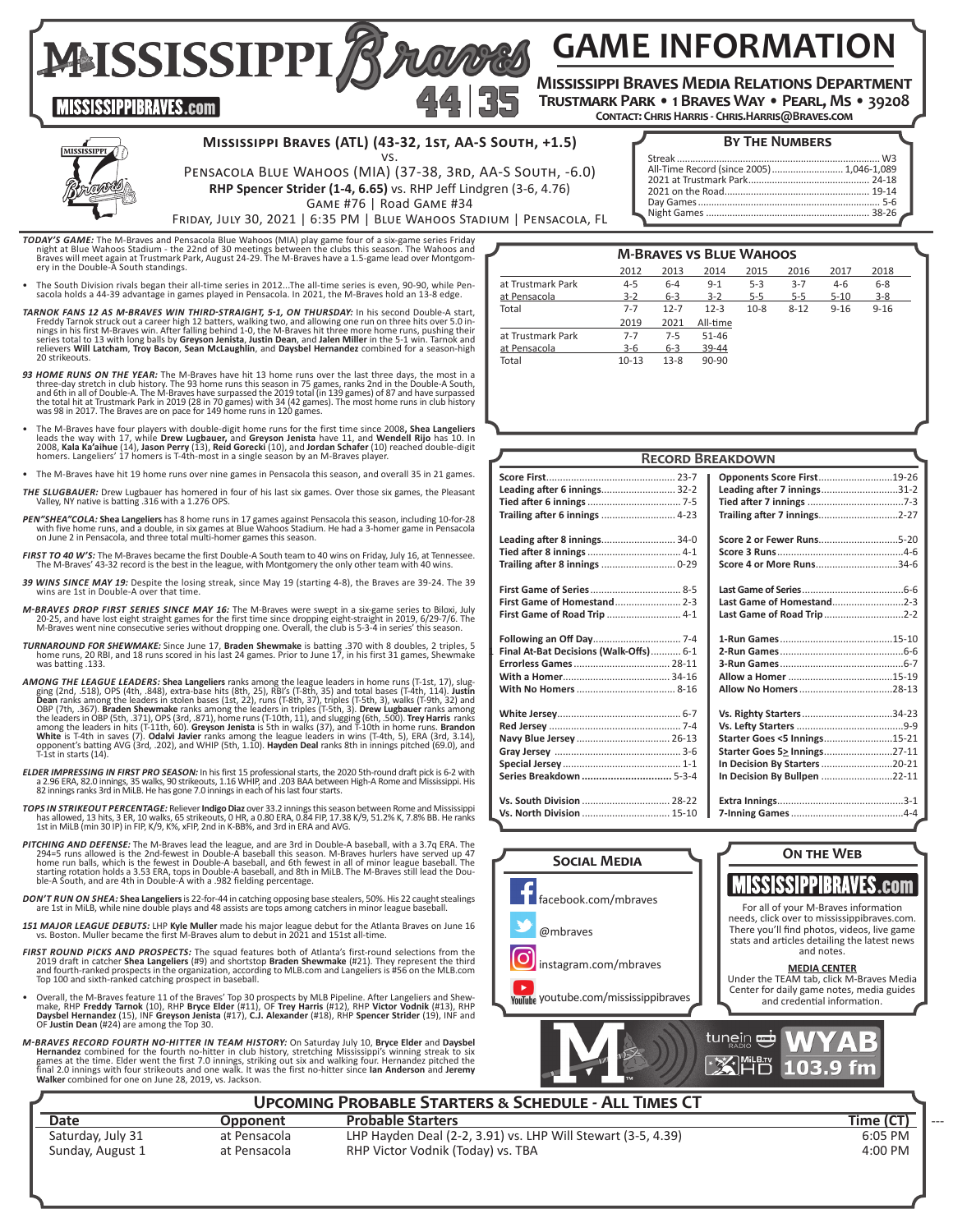**GAME INFORMATION**

MISSISSIPPI Brows **Mississippi Braves Media Relations Department Trustmark Park • 1 Braves Way • Pearl, Ms • 39208**

**Contact: Chris Harris - Chris.Harris@Braves.com**



**MISSISSIPPIBRAVES.com** 

#### **Mississippi Braves (ATL) (43-32, 1st, AA-S South, +1.5)** vs.

#### **By The Numbers**

| PENSACOLA BLUE WAHOOS (MIA) (37-38, 3RD, AA-S SOUTH, -6.0)        |  |
|-------------------------------------------------------------------|--|
| RHP Spencer Strider (1-4, 6.65) vs. RHP Jeff Lindgren (3-6, 4.76) |  |

Game #76 | Road Game #34 Friday, July 30, 2021 | 6:35 PM | Blue Wahoos Stadium | Pensacola, FL

- **TODAY'S GAME:** The M-Braves and Pensacola Blue Wahoos (MIA) play game four of a six-game series Friday night at Blue Wahoos Istadium the 22nd of 30 meetings between the clubs this season. The Wahoos and Braves will meet
- The South Division rivals began their all-time series in 2012...The all-time series is even, 90-90, while Pen- sacola holds a 44-39 advantage in games played in Pensacola. In 2021, the M-Braves hold an 13-8 edge.
- *TARNOK FANS 12 AS M-BRAVES WIN THIRD-STRAIGHT, 5-1, ON THURSDAY:* In his second Double-A start, Freddy Tarnok struck out a career high 12 batters, walking two, and allowing one run on three hits over 5.0 in-<br>nings in his first M-Braves win. After falling behind 1-0, the M-Braves hit three more home runs, pushing thei series total to 13 with long balls by **Greyson Jenista, Justin Dean,** and **Jalen Miller** in the 5-1 win. Tarnok and<br>relievers **Will Latcham, Troy Bacon, Sean McLaughlin,** and **Daysbel Hernandez** combined for a season-high<br>
- **93 HOME RUNS ON THE YEAR:** The M-Braves have hit 13 home runs over the last three days, the most in a three-day stretch in club history. The 93 home runs this season in 75 games, ranks 2nd in the Double-A Sunth, and 6th i
- The M-Braves have four players with double-digit home runs for the first time since 2008, Shea Langeliers leads the way with  $17$ , while Drew Lugbauer, and Greyson Jeniotella Rijo has 10. In 2008, Kala Ka'aihue (14), Jas
- The M-Braves have hit 19 home runs over nine games in Pensacola this season, and overall 35 in 21 games.
- *THE SLUGBAUER:* Drew Lugbauer has homered in four of his last six games. Over those six games, the Pleasant Valley, NY native is batting .316 with a 1.276 OPS.
- PEN" SHEA" COLA: Shea Langeliers has 8 home runs in 17 games against Pensacola this season, including 10-for-28<br>with five home runs, and a double, in six games at Blue Wahoos Stadium. He had a 3-homer game in Pensacola<br>on
- *FIRST TO 40 W'S:* The M-Braves became the first Double-A South team to 40 wins on Friday, July 16, at Tennessee. The M-Braves' 43-32 record is the best in the league, with Montgomery the only other team with 40 wins.
- *39 WINS SINCE MAY 19:* Despite the losing streak, since May 19 (starting 4-8), the Braves are 39-24. The 39 wins are 1st in Double-A over that time.
- M-BRAVES DROP FIRST SERIES SINCE MAY 16: The M-Braves were swept in a six-game series to Biloxi, July<br>20-276, and have lost eight straight games for the first time since dropping eight-straight in 2019, 6/29-7/6.<br>M-Braves
- TURNAROUND FOR SHEWMAKE: Since June 17, Braden Shewmake is batting .370 with 8 doubles, 2 triples, 5<br>home runs, 20 RBI, and 18 runs scored in his last 24 games. Prior to June 17, in his first 31 games, Shewmake was batting .133.
- **AMONG THE LEAGUE LEADERS: Shea Langeliers** ranks among the league leaders in home runs (T-1st, 17), slug-<br>ging (2nd, 5.18), OPS (4th, .848), extra-base hits (8th, 25), RBI's (T-8th, 35) and total bases (T-4th, 14). Justi
- ELDER IMPRESSING IN FIRST PRO SEASON: In his first 15 professional starts, the 2020 5th-round draft pick is 6-2 with<br>2.96 ERA, 80.0 innings, 35 walks, 90 strikeouts, 1.16 WHIP, and .203 BAA between High-A Rome and Mississi
- **TOPS IN STRIKEOUT PERCENTAGE:** Reliever **Indigo Diaz** over 33.2 innings this season between Rome and Mississippi<br>has allowed, 13 hits, 3 ER, 10 walks, 65 strikeouts, 0 HR, a 0.80 ERA, 0.84 FIP, 17.38 K/9, 51.2% K, 7.8% BB
- **PITCHING AND DEFENSE:** The M-Braves lead the league, and are 3rd in Double-A baseball, with a 3.7q ERA. The 204-<br>204-5 runs allowed is the 2nd-fewest in Double-A baseball this season. M-Braves hurlers have served up 47<br>ho
- DON'T RUN ON SHEA: Shea Langeliers is 22-for-44 in catching opposing base stealers, 50%. His 22 caught stealings<br>are 1st in MiLB, while nine double plays and 48 assists are tops among catchers in minor league baseball.
- **151 MAJOR LEAGUE DEBUTS**: LHP Kyle Muller made his major league debut for the Atlanta Braves on June 16 vs. Boston. Muller became the first M-Braves alum to debut in 2021 and 151st all-time.
- FIRST ROUND PICKS AND PROSPECTS: The squad features both of Atlanta's first-round selections from the 2019 draft in catcher Shea Langeliers (#9) and shortstop Braden Shewmake (#21). They represent the third and fourth-ranked prospects in the organization, according to MLB.com and Langeliers is #56 on the MLB.com Top 100 and sixth-ranked catching prospect in baseball.
- Overall, the M-Braves feature 11 of the Braves' Top 30 prospects by MLB Pipeline. After Langeliers and Shew-<br>make, RHP Freddy Tarnok (10), RHP Bryce Elder (#11), OF Trey Harris (#12), RHP Victor Vodnik (#13), RHP **Daysbel Hernandez** (15), INF **Greyson Jenista** (#17), **C.J. Alexander** (#18), RHP **Spencer Strider** (19), INF and<br>OF **Justin Dean** (#24) are among the Top 30.
- M-BRAVES RECORD FOURTH NO-HITTER IN TEAM HISTORY: On Saturday July 10, Bryce Elder and Daysbell Hermandez combined for the fourth no-hitter in club history, stretching Mississippi's winning streak to six games at the time.

# **Upcoming Probable Starters & Schedule - All Times CT**

**Date Opponent Probable Starters CONS Time (CT) Time (CT) Time (CT) Time (CT)** Saturday, July 31 at Pensacola LHP Hayden Deal (2-2, 3.91) vs. LHP Will Stewart (3-5, 4.39) 6:05 PM<br>Sunday, August 1 at Pensacola RHP Victor Vodnik (Today) vs. TBA at Pensacola **Sunday, August 2 at Pensacola** RHP Victor Vodnik (Today) vs. TBA 4:00 PM

Streak ............................................................................. W3 All-Time Record (since 2005)........................... 1,046-1,089 2021 at Trustmark Park.............................................. 24-18 2021 on the Road....................................................... 19-14 Day Games..................................................................... 5-6 Night Games

|                   | 2012    | 2013     | 2014     | 2015    | 2016     | 2017     | 2018     |  |
|-------------------|---------|----------|----------|---------|----------|----------|----------|--|
| at Trustmark Park | $4 - 5$ | $6 - 4$  | $9 - 1$  | $5 - 3$ | $3 - 7$  | $4-6$    | $6 - 8$  |  |
| at Pensacola      | $3 - 2$ | $6 - 3$  | $3 - 2$  | $5 - 5$ | $5-5$    | $5 - 10$ | $3 - 8$  |  |
| Total             | $7 - 7$ | $12 - 7$ | $12 - 3$ | $10-8$  | $8 - 12$ | $9 - 16$ | $9 - 16$ |  |
|                   | 2019    | 2021     | All-time |         |          |          |          |  |
| at Trustmark Park | $7 - 7$ | $7 - 5$  | 51-46    |         |          |          |          |  |
| at Pensacola      | $3-6$   | $6 - 3$  | 39-44    |         |          |          |          |  |
| Total             | $10-13$ | $13-8$   | 90-90    |         |          |          |          |  |
|                   |         |          |          |         |          |          |          |  |
|                   |         |          |          |         |          |          |          |  |
|                   |         |          |          |         |          |          |          |  |

**M-Braves vs Blue Wahoos**

|                                        | <b>RECORD BREAKDOWN</b>           |
|----------------------------------------|-----------------------------------|
|                                        | <b>Opponents Score First19-26</b> |
| Leading after 6 innings 32-2           | Leading after 7 innings31-2       |
|                                        |                                   |
| Trailing after 6 innings  4-23         |                                   |
| Leading after 8 innings 34-0           |                                   |
|                                        |                                   |
|                                        | Score 4 or More Runs34-6          |
|                                        |                                   |
|                                        |                                   |
| First Game of Road Trip  4-1           | Last Game of Road Trip 2-2        |
|                                        |                                   |
| Final At-Bat Decisions (Walk-Offs) 6-1 |                                   |
|                                        |                                   |
|                                        |                                   |
|                                        |                                   |
|                                        | Vs. Righty Starters34-23          |
|                                        |                                   |
|                                        | Starter Goes <5 Innings15-21      |
|                                        | Starter Goes 5> Innings27-11      |
|                                        | In Decision By Starters 20-21     |
| Series Breakdown  5-3-4                | In Decision By Bullpen 22-11      |
|                                        |                                   |
| Vs. North Division  15-10              |                                   |
|                                        |                                   |

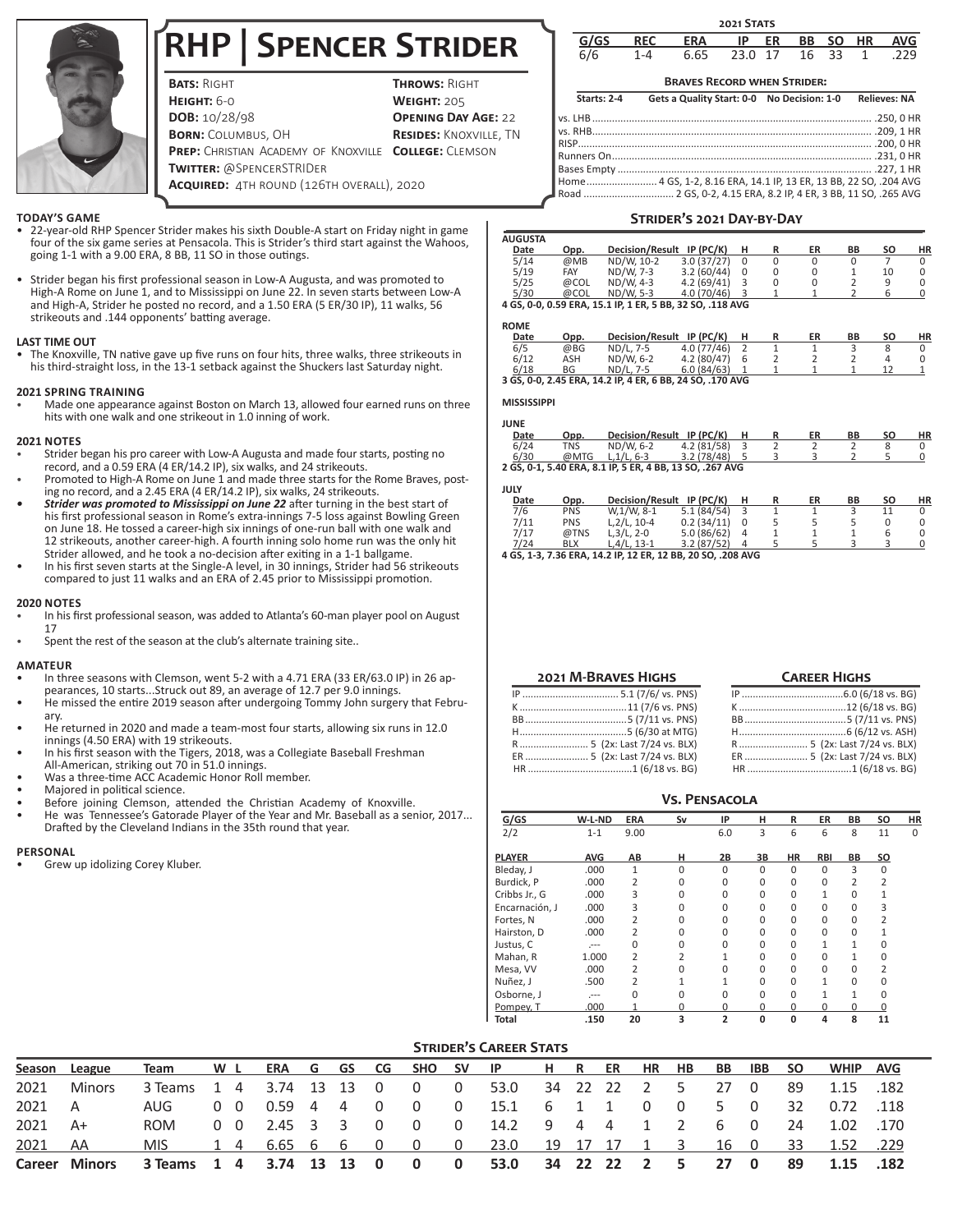

# **RHP | Spencer Strider**

**BATS: RIGHT THROWS: RIGHT HEIGHT:** 6-0 **WEIGHT:** 205 **DOB:**  $10/28/98$  **OPENING DAY AGE:** 22 **BORN:** COLUMBUS, OH **RESIDES:** KNOXVILLE, TN **PREP:** CHRISTIAN ACADEMY OF KNOXVILLE **COLLEGE:** CLEMSON **Twitter:** @SpencerSTRIDer **Acquired:** 4th round (126th overall), 2020

#### **TODAY'S GAME**

- 22-year-old RHP Spencer Strider makes his sixth Double-A start on Friday night in game four of the six game series at Pensacola. This is Strider's third start against the Wahoos, going 1-1 with a 9.00 ERA, 8 BB, 11 SO in those outings.
- Strider began his first professional season in Low-A Augusta, and was promoted to High-A Rome on June 1, and to Mississippi on June 22. In seven starts between Low-A and High-A, Strider he posted no record, and a 1.50 ERA (5 ER/30 IP), 11 walks, 56 strikeouts and .144 opponents' batting average.

## **LAST TIME OUT**

• The Knoxville, TN native gave up five runs on four hits, three walks, three strikeouts in his third-straight loss, in the 13-1 setback against the Shuckers last Saturday night.

## **2021 SPRING TRAINING**

• Made one appearance against Boston on March 13, allowed four earned runs on three hits with one walk and one strikeout in 1.0 inning of work.

## **2021 NOTES**

- Strider began his pro career with Low-A Augusta and made four starts, posting no record, and a 0.59 ERA (4 ER/14.2 IP), six walks, and 24 strikeouts.
- Promoted to High-A Rome on June 1 and made three starts for the Rome Braves, posting no record, and a 2.45 ERA (4 ER/14.2 IP), six walks, 24 strikeouts.
- *• Strider was promoted to Mississippi on June 22* after turning in the best start of his first professional season in Rome's extra-innings 7-5 loss against Bowling Green on June 18. He tossed a career-high six innings of one-run ball with one walk and 12 strikeouts, another career-high. A fourth inning solo home run was the only hit Strider allowed, and he took a no-decision after exiting in a 1-1 ballgame.
- In his first seven starts at the Single-A level, in 30 innings, Strider had 56 strikeouts compared to just 11 walks and an ERA of 2.45 prior to Mississippi promotion.

#### **2020 NOTES**

- In his first professional season, was added to Atlanta's 60-man player pool on August 17
- Spent the rest of the season at the club's alternate training site..

#### **AMATEUR**

- In three seasons with Clemson, went 5-2 with a 4.71 ERA (33 ER/63.0 IP) in 26 appearances, 10 starts...Struck out 89, an average of 12.7 per 9.0 innings.
- He missed the entire 2019 season after undergoing Tommy John surgery that February.
- He returned in 2020 and made a team-most four starts, allowing six runs in 12.0 innings (4.50 ERA) with 19 strikeouts.
- In his first season with the Tigers, 2018, was a Collegiate Baseball Freshman All-American, striking out 70 in 51.0 innings.
- Was a three-time ACC Academic Honor Roll member.
- Majored in political science.
- Before joining Clemson, attended the Christian Academy of Knoxville.
- He was Tennessee's Gatorade Player of the Year and Mr. Baseball as a senior, 2017... Drafted by the Cleveland Indians in the 35th round that year.

#### **PERSONAL**

Grew up idolizing Corey Kluber.

| <b>2021 STATS</b> |  |            |         |    |           |     |           |            |  |  |  |  |
|-------------------|--|------------|---------|----|-----------|-----|-----------|------------|--|--|--|--|
| GIGS              |  | <b>ERA</b> | ΙP      | ER | <b>BB</b> | SO. | <b>HR</b> | <b>AVG</b> |  |  |  |  |
|                   |  | 6.65       | 23.0 17 |    | 16        | 33  |           | 229        |  |  |  |  |

# **Braves Record when Strider:**

**Starts: 2-4 Gets a Quality Start: 0-0 No Decision: 1-0 Relieves: NA**

# **Strider's 2021 Day-by-Day**

| <b>AUGUSTA</b> |      |                                                           |                 |          |   |    |    |    |    |
|----------------|------|-----------------------------------------------------------|-----------------|----------|---|----|----|----|----|
| Date           | Opp. | <b>Decision/Result</b>                                    | $IP$ ( $PC/K$ ) |          |   | ER | ΒB | SΟ | НR |
| 5/14           | @MB  | ND/W. 10-2                                                | 3.0(37/27)      | 0        | 0 | 0  |    |    |    |
| 5/19           | FAY  | ND/W. 7-3                                                 | 3.2(60/44)      | $\Omega$ |   |    |    | 10 |    |
| 5/25           | @COL | ND/W. 4-3                                                 | 4.2(69/41)      |          |   |    |    | a  |    |
| 5/30           | @COL | ND/W. 5-3                                                 | 4.0 (70/46)     |          |   |    |    |    |    |
|                |      | 4 GS. 0-0, 0.59 ERA, 15.1 IP, 1 ER, 5 BB, 32 SO, .118 AVG |                 |          |   |    |    |    |    |

#### **ROME**

| KUME |      |                                                           |            |   |    |    |           |    |
|------|------|-----------------------------------------------------------|------------|---|----|----|-----------|----|
| Date | Opp. | <b>Decision/Result</b>                                    | IP (PC/K)  |   | ER | ВB | <b>SO</b> | ΗR |
| 6/5  | @BG  | ND/L, 7-5                                                 | 4.0(77/46) |   |    |    |           |    |
| 6/12 | ASH  | ND/W. 6-2                                                 | 4.2(80/47) | 6 |    |    |           |    |
| 6/18 | ΒG   | ND/L, 7-5                                                 | 6.0(84/63) |   |    |    |           |    |
|      |      | 3 GS. 0-0. 2.45 ERA. 14.2 IP. 4 ER. 6 BB. 24 SO. .170 AVG |            |   |    |    |           |    |

#### **MISSISSIPPI**

| JUNE |      |                                                          |                           |   |   |    |    |    |    |
|------|------|----------------------------------------------------------|---------------------------|---|---|----|----|----|----|
| Date | Opp. | <b>Decision/Result</b>                                   | IP (PC/K)                 |   | R | ER | ΒB | SΟ | ΗR |
| 6/24 | TNS  | ND/W. 6-2                                                | 4.2 (81/58)               | 3 |   |    |    | 8  |    |
| 6/30 | @MTG | $L.1/L.6-3$                                              | 3.2(78/48)                |   |   |    |    |    |    |
|      |      | 2 GS, 0-1, 5.40 ERA, 8.1 IP, 5 ER, 4 BB, 13 SO, .267 AVG |                           |   |   |    |    |    |    |
|      |      |                                                          |                           |   |   |    |    |    |    |
| JULY |      |                                                          |                           |   |   |    |    |    |    |
| Date | Opp. |                                                          | Decision/Result IP (PC/K) |   |   | ER | ВB | SΟ | ΗR |

7/6 PNS W,1/W, 8-1 5.1 (84/54) 3 1 1 3 11 0

# 7/11 PNS L, 2/L, 10-4 0.2 (34/11) 0 5 5 5 0 0<br>7/17 @TNS L, 3/L, 2-0 5.0 (86/62) 4 1 1 1 6 0  $7/17$  @TNS L,3/L,2-0 5.0 (86/62) 4 1 1 1 6 0<br>7/24 BLX L.4/L.13-1 3.2 (87/52) 4 5 5 3 3 0

7/24 BLX L,4/L, 13-1 3.2 (87/52) 4 5 5 3 3 0 **4 GS, 1-3, 7.36 ERA, 14.2 IP, 12 ER, 12 BB, 20 SO, .208 AVG**

| <b>2021 M-BRAVES HIGHS</b>    |
|-------------------------------|
|                               |
|                               |
|                               |
|                               |
| R 5 (2x: Last 7/24 vs. BLX)   |
| ER  5 (2x: Last 7/24 vs. BLX) |
|                               |

| <b>CAREER HIGHS</b>           |
|-------------------------------|
|                               |
|                               |
|                               |
|                               |
| R 5 (2x: Last 7/24 vs. BLX)   |
| ER  5 (2x: Last 7/24 vs. BLX) |
|                               |

|                |            |                |          |                |          |              |                |                |                | <b>VS. PENSACOLA</b> |  |  |  |  |  |  |  |  |  |  |  |  |  |
|----------------|------------|----------------|----------|----------------|----------|--------------|----------------|----------------|----------------|----------------------|--|--|--|--|--|--|--|--|--|--|--|--|--|
| G/GS           | W-L-ND     | <b>ERA</b>     | Sv       | IP             | н        | R            | ER             | BB             | SΟ             | ΗR                   |  |  |  |  |  |  |  |  |  |  |  |  |  |
| 2/2            | $1 - 1$    | 9.00           |          | 6.0            | 3        | 6            | 6              | 8              | 11             | 0                    |  |  |  |  |  |  |  |  |  |  |  |  |  |
| <b>PLAYER</b>  | <b>AVG</b> | AB             | н        | 2B             | 3В       | <b>HR</b>    | <b>RBI</b>     | BB             | so             |                      |  |  |  |  |  |  |  |  |  |  |  |  |  |
| Bleday, J      | .000       | $\mathbf{1}$   | 0        | $\Omega$       | $\Omega$ | $\Omega$     | $\Omega$       | 3              | $\Omega$       |                      |  |  |  |  |  |  |  |  |  |  |  |  |  |
| Burdick, P     | .000       | 2              | 0        | 0              | 0        | $\Omega$     | 0              | $\overline{2}$ | $\overline{2}$ |                      |  |  |  |  |  |  |  |  |  |  |  |  |  |
| Cribbs Jr., G  | .000       | 3              | 0        | $\Omega$       | $\Omega$ | $\Omega$     | $\mathbf{1}$   | $\Omega$       |                |                      |  |  |  |  |  |  |  |  |  |  |  |  |  |
| Encarnación, J | .000       | 3              | 0        | $\Omega$       | 0        | $\Omega$     | $\Omega$       | $\Omega$       | 3              |                      |  |  |  |  |  |  |  |  |  |  |  |  |  |
| Fortes, N      | .000       | $\overline{2}$ | 0        | 0              | 0        | $\Omega$     | $\Omega$       | $\Omega$       | $\overline{2}$ |                      |  |  |  |  |  |  |  |  |  |  |  |  |  |
| Hairston, D    | .000       | $\overline{2}$ | 0        | 0              | 0        | $\Omega$     | $\Omega$       | $\Omega$       | 1              |                      |  |  |  |  |  |  |  |  |  |  |  |  |  |
| Justus, C      | $- - -$    | 0              | 0        | 0              | $\Omega$ | $\Omega$     | $\mathbf{1}$   | 1              | 0              |                      |  |  |  |  |  |  |  |  |  |  |  |  |  |
| Mahan, R       | 1.000      | 2              | 2        |                | 0        | $\Omega$     | $\Omega$       |                | 0              |                      |  |  |  |  |  |  |  |  |  |  |  |  |  |
| Mesa, VV       | .000       | $\overline{2}$ | $\Omega$ | <sup>0</sup>   | 0        | $\Omega$     | $\Omega$       | 0              | 2              |                      |  |  |  |  |  |  |  |  |  |  |  |  |  |
| Nuñez, J       | .500       | 2              | 1        |                | 0        | $\Omega$     | 1              | $\Omega$       | <sup>0</sup>   |                      |  |  |  |  |  |  |  |  |  |  |  |  |  |
| Osborne, J     | $-$        | 0              | 0        | $\Omega$       | 0        | $\Omega$     | $\overline{1}$ | 1              | 0              |                      |  |  |  |  |  |  |  |  |  |  |  |  |  |
| Pompey, T      | .000       | 1              | 0        | 0              | 0        | <sup>0</sup> | $\Omega$       | 0              | 0              |                      |  |  |  |  |  |  |  |  |  |  |  |  |  |
| Total          | .150       | 20             | 3        | $\overline{2}$ | 0        | 0            | 4              | 8              | 11             |                      |  |  |  |  |  |  |  |  |  |  |  |  |  |

# **STRIDER'S CAREER STATS**

|         | Season League                                                | Team W L                                       |  |  |  |  | ERA G GS CG SHO SV IP H R ER HR HB                     |  |                |        | <b>BB</b> | IBB SO         |     | <b>WHIP AVG</b> |  |
|---------|--------------------------------------------------------------|------------------------------------------------|--|--|--|--|--------------------------------------------------------|--|----------------|--------|-----------|----------------|-----|-----------------|--|
| 2021    | Minors                                                       | 3 Teams 1 4 3.74 13 13 0 0 0 53.0 34 22 22 2 5 |  |  |  |  |                                                        |  |                |        | 27 0      |                | -89 | 1.15 .182       |  |
| 2021 A  |                                                              | AUG 0 0 0.59 4 4 0 0 0 15.1 6 1 1              |  |  |  |  |                                                        |  | $\overline{0}$ | $\Box$ | 5.        | $\overline{0}$ |     | 32  0.72  .118  |  |
| 2021 A+ |                                                              | ROM                                            |  |  |  |  | 0 0 2.45 3 3 0 0 0 14.2 9 4 4                          |  | $1 \quad 2$    |        | 60        |                |     | 24 1.02 1.70    |  |
| 2021    | - AA                                                         | MIS.                                           |  |  |  |  | 1 4 6.65 6 6 0 0 0 23.0 19 17 17 1 3 16 0 33 1.52 .229 |  |                |        |           |                |     |                 |  |
|         | Career Minors 3 Teams 1 4 3.74 13 13 0 0 0 53.0 34 22 22 2 5 |                                                |  |  |  |  |                                                        |  |                |        | 27 0      |                |     | 89 1.15 .182    |  |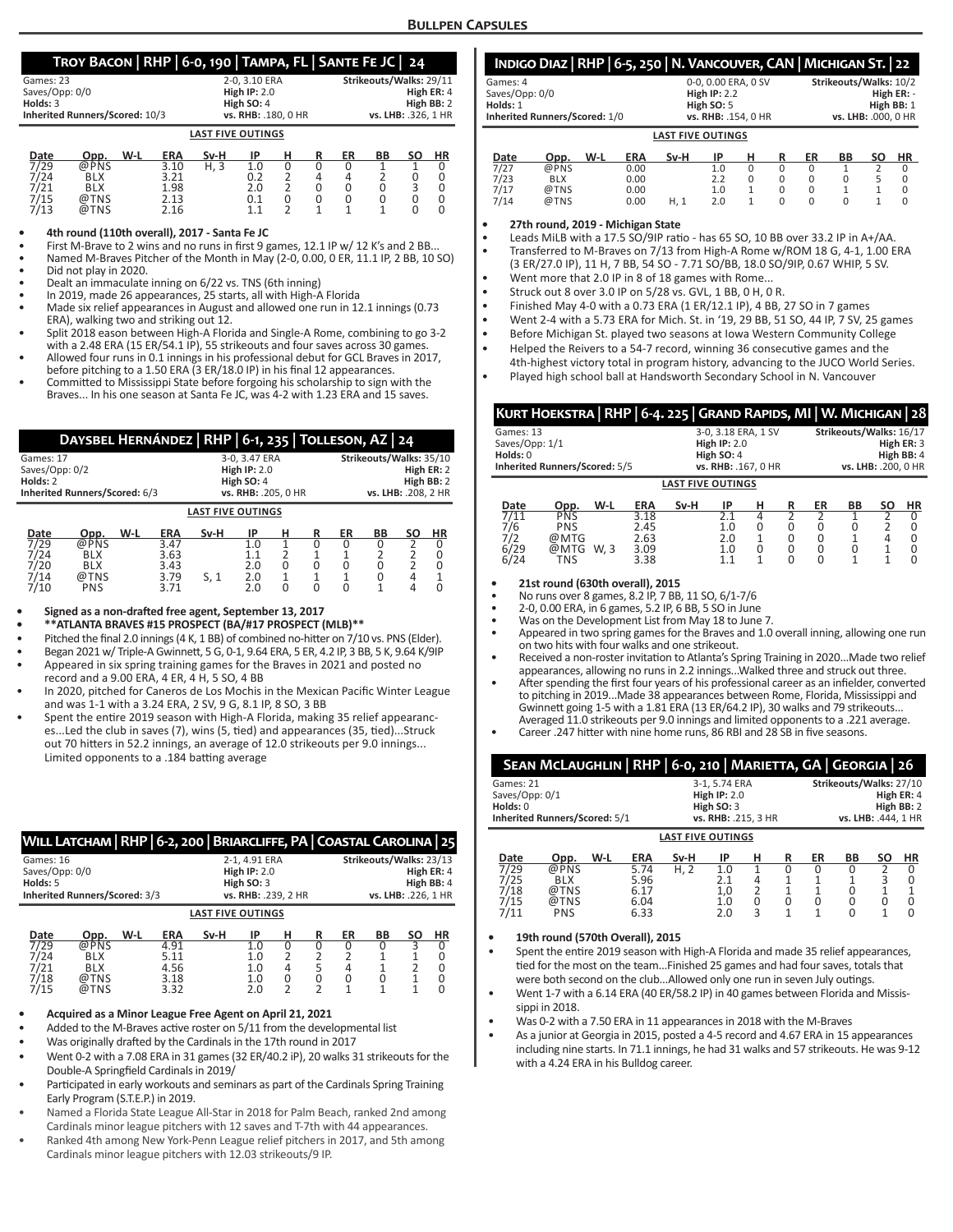# **Troy Bacon | RHP | 6-0, 190 | Tampa, FL | Sante Fe JC | 24**

| Games: 23                      | 2-0.3.10 ERA             | Strikeouts/Walks: 29/11 |
|--------------------------------|--------------------------|-------------------------|
| Saves/Opp: 0/0                 | High $IP: 2.0$           | High ER: 4              |
| Holds: $3$                     | High SO: 4               | High BB: 2              |
| Inherited Runners/Scored: 10/3 | vs. RHB: .180. 0 HR      | vs. LHB: .326. 1 HR     |
|                                | <b>LAST FIVE OUTINGS</b> |                         |

| Date | Opp. | W-L | <b>ERA</b> | Sv-H | ID  |  | ER | BВ | SΟ | НR |
|------|------|-----|------------|------|-----|--|----|----|----|----|
| 7/29 | @PNS |     | 3.10       | H. 3 | 1.0 |  |    |    |    |    |
| 7/24 | BLX  |     | 3.21       |      | 0.2 |  |    |    |    |    |
| 7/21 | BLX  |     | 1.98       |      | 2.0 |  |    |    |    |    |
| 7/15 | @TNS |     | 2.13       |      | 0.1 |  |    |    |    |    |
| 7/13 | @TNS |     | 2.16       |      |     |  |    |    |    |    |

#### **• 4th round (110th overall), 2017 - Santa Fe JC**

First M-Brave to 2 wins and no runs in first 9 games, 12.1 IP w/ 12 K's and 2 BB..

• Named M-Braves Pitcher of the Month in May (2-0, 0.00, 0 ER, 11.1 IP, 2 BB, 10 SO) • Did not play in 2020.

• Dealt an immaculate inning on 6/22 vs. TNS (6th inning)

In 2019, made 26 appearances, 25 starts, all with High-A Florida

- Made six relief appearances in August and allowed one run in 12.1 innings (0.73 ERA), walking two and striking out 12.
- Split 2018 eason between High-A Florida and Single-A Rome, combining to go 3-2 with a 2.48 ERA (15 ER/54.1 IP), 55 strikeouts and four saves across 30 games.
- Allowed four runs in 0.1 innings in his professional debut for GCL Braves in 2017, before pitching to a 1.50 ERA (3 ER/18.0 IP) in his final 12 appearances.
- Committed to Mississippi State before forgoing his scholarship to sign with the Braves... In his one season at Santa Fe JC, was 4-2 with 1.23 ERA and 15 saves.

| DAYSBEL HERNÁNDEZ   RHP   6-1, 235   TOLLESON, AZ   24 |                          |                         |  |  |  |  |  |  |  |
|--------------------------------------------------------|--------------------------|-------------------------|--|--|--|--|--|--|--|
| Games: 17                                              | 3-0.3.47 ERA             | Strikeouts/Walks: 35/10 |  |  |  |  |  |  |  |
| Saves/Opp: 0/2                                         | High $IP: 2.0$           | High ER: 2              |  |  |  |  |  |  |  |
| Holds: 2                                               | High SO: 4               | High BB: 2              |  |  |  |  |  |  |  |
| Inherited Runners/Scored: 6/3                          | vs. RHB: .205, 0 HR      | vs. LHB: .208, 2 HR     |  |  |  |  |  |  |  |
|                                                        | <b>LAST FIVE OUTINGS</b> |                         |  |  |  |  |  |  |  |

#### **Date Opp. W-L ERA Sv-H IP H R ER BB SO HR** 7/29 @PNS 3.47 1.0 1 0 0 0 2 0 7/24 BLX 3.63 1.1 2 1 1 2 2 0 7/20 BLX 3.43 2.0 0 0 0 0 2 0 7/14 @TNS 3.79 S, 1 2.0 1 1 1 0 4 1 7/10 PNS 3.71 2.0 0 0 0 1 4 0

#### **• Signed as a non-drafted free agent, September 13, 2017**

- **• \*\*ATLANTA BRAVES #15 PROSPECT (BA/#17 PROSPECT (MLB)\*\***
- Pitched the final 2.0 innings (4 K, 1 BB) of combined no-hitter on 7/10 vs. PNS (Elder).
- Began 2021 w/ Triple-A Gwinnett, 5 G, 0-1, 9.64 ERA, 5 ER, 4.2 IP, 3 BB, 5 K, 9.64 K/9IP
- Appeared in six spring training games for the Braves in 2021 and posted no record and a 9.00 ERA, 4 ER, 4 H, 5 SO, 4 BB
- In 2020, pitched for Caneros de Los Mochis in the Mexican Pacific Winter League and was 1-1 with a 3.24 ERA, 2 SV, 9 G, 8.1 IP, 8 SO, 3 BB
- Spent the entire 2019 season with High-A Florida, making 35 relief appearances...Led the club in saves (7), wins (5, tied) and appearances (35, tied)...Struck out 70 hitters in 52.2 innings, an average of 12.0 strikeouts per 9.0 innings... Limited opponents to a .184 batting average

| WILL LATCHAM   RHP   6-2, 200   BRIARCLIFFE, PA   COASTAL CAROLINA   25     |            |     |            |                          |                |   |   |                         |           |    |            |  |  |
|-----------------------------------------------------------------------------|------------|-----|------------|--------------------------|----------------|---|---|-------------------------|-----------|----|------------|--|--|
| Games: 16                                                                   |            |     |            | 2-1, 4.91 ERA            |                |   |   | Strikeouts/Walks: 23/13 |           |    |            |  |  |
| Saves/Opp: 0/0                                                              |            |     |            |                          | High $IP: 2.0$ |   |   |                         |           |    | High ER: 4 |  |  |
| Holds: 5                                                                    |            |     |            |                          | High $SO:3$    |   |   |                         |           |    | High BB: 4 |  |  |
| Inherited Runners/Scored: 3/3<br>vs. RHB: .239, 2 HR<br>vs. LHB: .226, 1 HR |            |     |            |                          |                |   |   |                         |           |    |            |  |  |
|                                                                             |            |     |            | <b>LAST FIVE OUTINGS</b> |                |   |   |                         |           |    |            |  |  |
| Date                                                                        | Opp.       | W-L | <b>ERA</b> | Sv-H                     | ΙP             | н | R | ER                      | <b>BB</b> | SΟ | HR         |  |  |
| 7/29                                                                        | @PNS       |     | 4.91       |                          | 1.0            | O |   |                         | n         |    |            |  |  |
| 7/24                                                                        | <b>BLX</b> |     | 5.11       |                          | 1.0            |   |   |                         |           |    |            |  |  |
| 1/21                                                                        | <b>BLX</b> |     | 4.56       |                          | 1.0            | 4 |   |                         |           |    |            |  |  |
| 7/18                                                                        | @TNS       |     | 3.18       |                          | 1.0            | 0 |   | O                       |           |    |            |  |  |
| 7/15                                                                        | @TNS       |     | 3.32       |                          | 2.0            | 2 |   |                         |           |    |            |  |  |

#### **• Acquired as a Minor League Free Agent on April 21, 2021**

Added to the M-Braves active roster on 5/11 from the developmental list

- Was originally drafted by the Cardinals in the 17th round in 2017
- Went 0-2 with a 7.08 ERA in 31 games (32 ER/40.2 iP), 20 walks 31 strikeouts for the Double-A Springfield Cardinals in 2019/
- Participated in early workouts and seminars as part of the Cardinals Spring Training Early Program (S.T.E.P.) in 2019.
- Named a Florida State League All-Star in 2018 for Palm Beach, ranked 2nd among Cardinals minor league pitchers with 12 saves and T-7th with 44 appearances.
- Ranked 4th among New York-Penn League relief pitchers in 2017, and 5th among Cardinals minor league pitchers with 12.03 strikeouts/9 IP.

| INDIGO DIAZ   RHP   6-5, 250   N. VANCOUVER, CAN   MICHIGAN ST.   22 |                          |                        |
|----------------------------------------------------------------------|--------------------------|------------------------|
| Games: 4                                                             | 0-0, 0.00 ERA, 0 SV      | Strikeouts/Walks: 10/2 |
| Saves/Opp: 0/0                                                       | High $IP: 2.2$           | High $ER: -$           |
| Holds: 1                                                             | High $SO:5$              | High BB: 1             |
| Inherited Runners/Scored: 1/0                                        | vs. RHB: .154. 0 HR      | vs. LHB: .000. 0 HR    |
|                                                                      | <b>LAST FIVE OUTINGS</b> |                        |

| Date | Opp.       | W-L | ERA  | Sv-H | IP  | н | ER | BВ | SΟ | HR |
|------|------------|-----|------|------|-----|---|----|----|----|----|
| 7/27 | @PNS       |     | 0.00 |      | 1.0 |   |    |    |    |    |
| 7/23 | <b>BLX</b> |     | 0.00 |      | 2.2 |   |    |    |    |    |
| 7/17 | @TNS       |     | 0.00 |      | 1.0 |   |    |    |    |    |
| 7/14 | @TNS       |     | 0.00 | H. 1 | 2.0 |   |    |    |    |    |

#### **• 27th round, 2019 - Michigan State**

• Leads MiLB with a 17.5 SO/9IP ratio - has 65 SO, 10 BB over 33.2 IP in A+/AA.

- Transferred to M-Braves on 7/13 from High-A Rome w/ROM 18 G, 4-1, 1.00 ERA (3 ER/27.0 IP), 11 H, 7 BB, 54 SO - 7.71 SO/BB, 18.0 SO/9IP, 0.67 WHIP, 5 SV.
- Went more that 2.0 IP in 8 of 18 games with Rome...
- Struck out 8 over 3.0 IP on 5/28 vs. GVL, 1 BB, 0 H, 0 R.
- Finished May 4-0 with a 0.73 ERA (1 ER/12.1 IP), 4 BB, 27 SO in 7 games
- Went 2-4 with a 5.73 ERA for Mich. St. in '19, 29 BB, 51 SO, 44 IP, 7 SV, 25 games
- Before Michigan St. played two seasons at Iowa Western Community College
- Helped the Reivers to a 54-7 record, winning 36 consecutive games and the
- 4th-highest victory total in program history, advancing to the JUCO World Series.
- Played high school ball at Handsworth Secondary School in N. Vancouver

|                | KURT HOEKSTRA   RHP   6-4. 225   GRAND RAPIDS, MI   W. MICHIGAN   28 |      |            |                          |                |                     |   |    |                         |    |            |
|----------------|----------------------------------------------------------------------|------|------------|--------------------------|----------------|---------------------|---|----|-------------------------|----|------------|
| Games: 13      |                                                                      |      |            |                          |                | 3-0, 3.18 ERA, 1 SV |   |    | Strikeouts/Walks: 16/17 |    |            |
| Saves/Opp: 1/1 |                                                                      |      |            |                          | High IP: $2.0$ |                     |   |    |                         |    | High ER: 3 |
| Holds: 0       |                                                                      |      |            |                          | High SO: 4     |                     |   |    |                         |    | High BB: 4 |
|                | Inherited Runners/Scored: 5/5                                        |      |            |                          |                | vs. RHB: .167, 0 HR |   |    | vs. LHB: .200, 0 HR     |    |            |
|                |                                                                      |      |            | <b>LAST FIVE OUTINGS</b> |                |                     |   |    |                         |    |            |
| Date           | Opp.                                                                 | W-L  | <b>ERA</b> | Sv-H                     | IP             | н                   | R | ER | BB                      | SΟ | <b>HR</b>  |
| 7/11           | <b>PNS</b>                                                           |      | 3.18       |                          | 21             | 4                   | ำ |    |                         |    |            |
| 7/6<br>7/2     | <b>PNS</b>                                                           |      | 2.45       |                          | 1.0            | 0                   | 0 | U  |                         |    |            |
|                | @MTG                                                                 |      | 2.63       |                          | 2.0            |                     |   | 0  |                         |    |            |
| 6/29           | @MTG                                                                 | W. 3 | 3.09       |                          | 1.0            | 0                   | U | 0  | 0                       |    | O          |
| 6/24           | TNS                                                                  |      | 3.38       |                          | 11             |                     |   | O  |                         |    | O          |

#### **• 21st round (630th overall), 2015**

• No runs over 8 games, 8.2 IP, 7 BB, 11 SO, 6/1-7/6

- 2-0, 0.00 ERA, in 6 games, 5.2 IP, 6 BB, 5 SO in June
- Was on the Development List from May 18 to June 7.
- Appeared in two spring games for the Braves and 1.0 overall inning, allowing one run on two hits with four walks and one strikeout.
- Received a non-roster invitation to Atlanta's Spring Training in 2020...Made two relief appearances, allowing no runs in 2.2 innings...Walked three and struck out three.
- After spending the first four years of his professional career as an infielder, converted to pitching in 2019...Made 38 appearances between Rome, Florida, Mississippi and Gwinnett going 1-5 with a 1.81 ERA (13 ER/64.2 IP), 30 walks and 79 strikeouts... Averaged 11.0 strikeouts per 9.0 innings and limited opponents to a .221 average.
- Career .247 hitter with nine home runs, 86 RBI and 28 SB in five seasons.

| SEAN MCLAUGHLIN   RHP   6-0, 210   MARIETTA, GA   GEORGIA   26 |                     |                         |  |  |  |  |  |  |  |
|----------------------------------------------------------------|---------------------|-------------------------|--|--|--|--|--|--|--|
| Games: 21                                                      | 3-1, 5.74 ERA       | Strikeouts/Walks: 27/10 |  |  |  |  |  |  |  |
| Saves/Opp: 0/1                                                 | High $IP: 2.0$      | High ER: 4              |  |  |  |  |  |  |  |
| Holds: 0                                                       | High $SO:3$         | High BB: 2              |  |  |  |  |  |  |  |
| Inherited Runners/Scored: 5/1                                  | vs. RHB: .215, 3 HR | vs. LHB: .444. 1 HR     |  |  |  |  |  |  |  |
| <b>LAST FIVE OUTINGS</b>                                       |                     |                         |  |  |  |  |  |  |  |

| Date | Opp.       | W-L | <b>ERA</b> | Sv-H | IP  | н | ER | BВ | ΗR |
|------|------------|-----|------------|------|-----|---|----|----|----|
| 7/29 | @PNS       |     | 5.74       | H. 2 | 1.0 |   |    |    |    |
| 7/25 | <b>BLX</b> |     | 5.96       |      |     | Δ |    |    |    |
| 7/18 | @TNS       |     | 6.17       |      | 1.0 |   |    |    |    |
| 7/15 | @TNS       |     | 6.04       |      | 1.0 |   |    |    |    |
| 7/11 | PNS        |     | 6.33       |      | 2.0 | ∍ |    |    |    |
|      |            |     |            |      |     |   |    |    |    |

#### **• 19th round (570th Overall), 2015**

- Spent the entire 2019 season with High-A Florida and made 35 relief appearances, tied for the most on the team...Finished 25 games and had four saves, totals that were both second on the club...Allowed only one run in seven July outings.
- Went 1-7 with a 6.14 ERA (40 ER/58.2 IP) in 40 games between Florida and Mississinni in 2018.
- Was 0-2 with a 7.50 ERA in 11 appearances in 2018 with the M-Braves
- As a junior at Georgia in 2015, posted a 4-5 record and 4.67 ERA in 15 appearances including nine starts. In 71.1 innings, he had 31 walks and 57 strikeouts. He was 9-12 with a 4.24 ERA in his Bulldog career.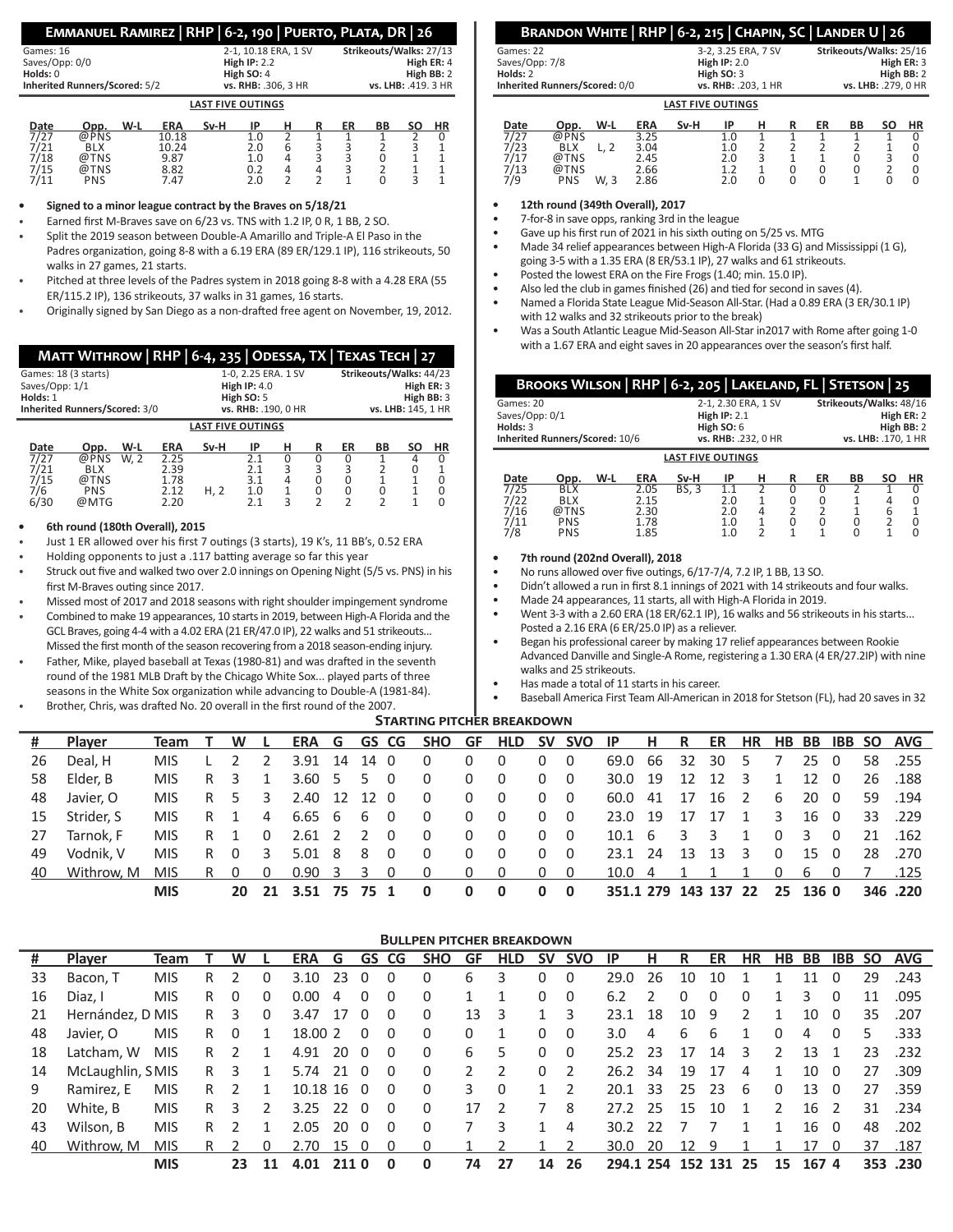# **Emmanuel Ramirez | RHP | 6-2, 190 | Puerto, Plata, DR | 26**

| <b>Inherited Runners/Scored: 5/2</b> | vs. RHB: .306. 3 HR<br><b>LAST FIVE OUTINGS</b> | vs. LHB: .419. 3 HR                   |
|--------------------------------------|-------------------------------------------------|---------------------------------------|
| Holds: 0                             | High SO: 4                                      | High BB: 2                            |
| Games: 16<br>Saves/Opp: 0/0          | 2-1, 10.18 ERA, 1 SV<br>High $IP: 2.2$          | Strikeouts/Walks: 27/13<br>High ER: 4 |

| Date | Opp.       | W-L | <b>ERA</b> | Sv-H | IP  |   | ER | BВ | SΟ | ΗR |
|------|------------|-----|------------|------|-----|---|----|----|----|----|
| 7/27 | @PNS       |     | 10.18      |      |     |   |    |    |    |    |
| 7/21 | <b>BLX</b> |     | 10.24      |      | 2.0 |   |    |    |    |    |
| 7/18 | @TNS       |     | 9.87       |      | 1.0 | Δ |    |    |    |    |
| 7/15 | @TNS       |     | 8.82       |      | 0.2 |   |    |    |    |    |
| 7/11 | PNS        |     | 7.47       |      | 2.0 |   |    |    |    |    |

**• Signed to a minor league contract by the Braves on 5/18/21**

• Earned first M-Braves save on 6/23 vs. TNS with 1.2 IP, 0 R, 1 BB, 2 SO.

- Split the 2019 season between Double-A Amarillo and Triple-A El Paso in the Padres organization, going 8-8 with a 6.19 ERA (89 ER/129.1 IP), 116 strikeouts, 50 walks in 27 games, 21 starts.
- Pitched at three levels of the Padres system in 2018 going 8-8 with a 4.28 ERA (55 ER/115.2 IP), 136 strikeouts, 37 walks in 31 games, 16 starts.
- Originally signed by San Diego as a non-drafted free agent on November, 19, 2012.

| MATT WITHROW   RHP   6-4, 235   ODESSA, TX   TEXAS TECH   27 |                |                     |                     |                         |   |                    |            |           |    |    |  |
|--------------------------------------------------------------|----------------|---------------------|---------------------|-------------------------|---|--------------------|------------|-----------|----|----|--|
| Games: 18 (3 starts)                                         |                |                     | 1-0, 2.25 ERA. 1 SV | Strikeouts/Walks: 44/23 |   |                    |            |           |    |    |  |
| Saves/Opp: 1/1                                               | High $IP: 4.0$ |                     |                     |                         |   |                    | High ER: 3 |           |    |    |  |
| Holds: 1                                                     |                |                     |                     | High $SO: 5$            |   |                    | High BB: 3 |           |    |    |  |
| Inherited Runners/Scored: 3/0                                |                | vs. RHB: .190, 0 HR |                     |                         |   | vs. LHB: 145. 1 HR |            |           |    |    |  |
| <b>LAST FIVE OUTINGS</b>                                     |                |                     |                     |                         |   |                    |            |           |    |    |  |
| Date<br>Opp.                                                 | W-L            | <b>ERA</b>          | Sv-H                | ΙP                      | н | R                  | ER         | <b>BB</b> | SΟ | HR |  |
| 7/27<br>@PNS                                                 | W. 2           | 2.25                |                     | O 1                     | 0 | 0                  |            |           |    | 0  |  |

| 7/6 PNS<br>6/30 @MTG | 2.39<br>1.78<br>2.20 | 2.12 H, 2 1.0 1 0 0 0 1 0 | 2.1 3 3 3 2 0 1<br>3.1 4 0 0 1 1 0<br>$2.1$ 3 2 2 2 1 0 |  |  |  |
|----------------------|----------------------|---------------------------|---------------------------------------------------------|--|--|--|
|                      |                      |                           |                                                         |  |  |  |

# **• 6th round (180th Overall), 2015**

- Just 1 ER allowed over his first 7 outings (3 starts), 19 K's, 11 BB's, 0.52 ERA
- Holding opponents to just a .117 batting average so far this year
- Struck out five and walked two over 2.0 innings on Opening Night (5/5 vs. PNS) in his first M-Braves outing since 2017.
- Missed most of 2017 and 2018 seasons with right shoulder impingement syndrome
- Combined to make 19 appearances, 10 starts in 2019, between High-A Florida and the GCL Braves, going 4-4 with a 4.02 ERA (21 ER/47.0 IP), 22 walks and 51 strikeouts... Missed the first month of the season recovering from a 2018 season-ending injury.
- Father, Mike, played baseball at Texas (1980-81) and was drafted in the seventh round of the 1981 MLB Draft by the Chicago White Sox... played parts of three seasons in the White Sox organization while advancing to Double-A (1981-84).
- Brother, Chris, was drafted No. 20 overall in the first round of the 2007.

# **Brandon White | RHP | 6-2, 215 | Chapin, SC | Lander U | 26**

| Games: 22      |                               |     |      |                          | 3-2, 3.25 ERA, 7 SV |            | Strikeouts/Walks: 25/16 |                          |    |                |        |  |  |  |  |
|----------------|-------------------------------|-----|------|--------------------------|---------------------|------------|-------------------------|--------------------------|----|----------------|--------|--|--|--|--|
| Saves/Opp: 7/8 |                               |     |      |                          | <b>High IP: 2.0</b> |            |                         | High ER: 3               |    |                |        |  |  |  |  |
| Holds: 2       |                               |     |      |                          | High SO: 3          | High BB: 2 |                         |                          |    |                |        |  |  |  |  |
|                | Inherited Runners/Scored: 0/0 |     |      |                          | vs. RHB: .203, 1 HR |            | vs. LHB: .279, 0 HR     |                          |    |                |        |  |  |  |  |
|                |                               |     |      | <b>LAST FIVE OUTINGS</b> |                     |            |                         |                          |    |                |        |  |  |  |  |
| Date<br>777    | Opp.<br>0.011                 | W-L | ERA  | Sv-H                     | IP                  | н          |                         | ER                       | ВB | SΟ             | HR     |  |  |  |  |
|                |                               |     | 2.25 |                          | $\sim$              |            |                         | $\overline{\phantom{a}}$ |    | $\overline{ }$ | $\sim$ |  |  |  |  |

| 7/27           | @PNS               | 3.25 |     |  |  | 0 |
|----------------|--------------------|------|-----|--|--|---|
|                | <b>BLX</b>         | 3.04 | 1.0 |  |  |   |
| $\frac{7}{23}$ | @TNS               | 2.45 | 2.0 |  |  | 0 |
| 7/13           | @TNS               | 2.66 |     |  |  |   |
| 7/9            | <b>PNS</b><br>W. 3 | 2.86 | 2.0 |  |  | 0 |
|                |                    |      |     |  |  |   |

**• 12th round (349th Overall), 2017**

- 7-for-8 in save opps, ranking 3rd in the league
- Gave up his first run of 2021 in his sixth outing on 5/25 vs. MTG
- Made 34 relief appearances between High-A Florida (33 G) and Mississippi (1 G), going 3-5 with a 1.35 ERA (8 ER/53.1 IP), 27 walks and 61 strikeouts.
- Posted the lowest ERA on the Fire Frogs (1.40; min. 15.0 IP).
- Also led the club in games finished (26) and tied for second in saves (4).
- Named a Florida State League Mid-Season All-Star. (Had a 0.89 ERA (3 ER/30.1 IP) with 12 walks and 32 strikeouts prior to the break)
- Was a South Atlantic League Mid-Season All-Star in2017 with Rome after going 1-0 with a 1.67 ERA and eight saves in 20 appearances over the season's first half.

|                                | BROOKS WILSON   RHP   6-2, 205   LAKELAND, FL   STETSON   25 |     |            |                          |                     |   |                         |                     |           |            |  |  |  |  |
|--------------------------------|--------------------------------------------------------------|-----|------------|--------------------------|---------------------|---|-------------------------|---------------------|-----------|------------|--|--|--|--|
| Games: 20                      |                                                              |     |            |                          | 2-1, 2.30 ERA, 1 SV |   | Strikeouts/Walks: 48/16 |                     |           |            |  |  |  |  |
| Saves/Opp: 0/1                 |                                                              |     |            |                          | High $IP: 2.1$      |   |                         |                     |           | High ER: 2 |  |  |  |  |
| Holds: 3                       |                                                              |     |            |                          | High $SO:6$         |   | High BB: 2              |                     |           |            |  |  |  |  |
| Inherited Runners/Scored: 10/6 |                                                              |     |            |                          | vs. RHB: .232, 0 HR |   |                         | vs. LHB: .170. 1 HR |           |            |  |  |  |  |
|                                |                                                              |     |            | <b>LAST FIVE OUTINGS</b> |                     |   |                         |                     |           |            |  |  |  |  |
| Date                           | Opp.                                                         | W-L | <b>ERA</b> | Sv-H                     | IP                  | н | ER                      | BB                  | <b>SO</b> | HR         |  |  |  |  |
| 7/25                           | BLX                                                          |     | 2.05       | BS. 3                    |                     |   |                         |                     |           |            |  |  |  |  |

| Date         | Opp. | W-L | ΕKΑ  | SV-H         | ıμ  | н | ĸ | Εĸ | вв | SΟ | нк |
|--------------|------|-----|------|--------------|-----|---|---|----|----|----|----|
| 7/25         | BLX  |     | 2.05 | <b>BS, 3</b> |     |   |   |    |    |    |    |
| 7/22<br>7/16 | BLX  |     | 2.15 |              | 2.0 |   |   |    |    |    |    |
|              | @TNS |     | 2.30 |              | 2.0 | Δ |   |    |    |    |    |
| 7/11         | PNS  |     | 1.78 |              | 1.0 |   |   |    |    |    |    |
| 7/8          | PNS  |     | 1.85 |              | 1.0 |   |   |    |    |    |    |
|              |      |     |      |              |     |   |   |    |    |    |    |

#### **• 7th round (202nd Overall), 2018**

• No runs allowed over five outings, 6/17-7/4, 7.2 IP, 1 BB, 13 SO.

- Didn't allowed a run in first 8.1 innings of 2021 with 14 strikeouts and four walks.
- Made 24 appearances, 11 starts, all with High-A Florida in 2019.

• Went 3-3 with a 2.60 ERA (18 ER/62.1 IP), 16 walks and 56 strikeouts in his starts... Posted a 2.16 ERA (6 ER/25.0 IP) as a reliever.

• Began his professional career by making 17 relief appearances between Rookie Advanced Danville and Single-A Rome, registering a 1.30 ERA (4 ER/27.2IP) with nine walks and 25 strikeouts.

- Has made a total of 11 starts in his career.
- Baseball America First Team All-American in 2018 for Stetson (FL), had 20 saves in 32

#### **Starting pitcher breakdown**

| #  | <b>Player</b> | Team       | T W L |                |                                |      |                         | ERA G GS CG SHO GF HLD SV SVO IP H R ER HR HB BB IBB SO AVG |                                              |                |                                            |                |                      |  |                |                         |              |     |         |
|----|---------------|------------|-------|----------------|--------------------------------|------|-------------------------|-------------------------------------------------------------|----------------------------------------------|----------------|--------------------------------------------|----------------|----------------------|--|----------------|-------------------------|--------------|-----|---------|
| 26 | Deal. H       | MIS.       | 2 2   |                | 3.91 14                        | 14 0 |                         | $\Omega$                                                    | $\Omega$                                     | $\Omega$       | $\Omega$                                   | $\overline{0}$ | 69.0 66 32 30 5      |  |                |                         | $25 \quad 0$ |     | 58.255  |
| 58 | Elder. B      | MIS.       | R 3   | $\overline{1}$ | $3.60$ 5 5 0                   |      |                         | $\overline{0}$                                              | $\Omega$                                     | $\overline{0}$ | $0\quad 0$                                 |                | 30.0 19 12 12 3      |  |                | 1                       | 12 0         |     | 26 .188 |
| 48 | Javier, O     | MIS.       | R 5 3 |                | 2.40 12 12 0                   |      |                         | $\Omega$                                                    | $0\quad 0$                                   |                | $0\quad 0$                                 |                | 60.0 41 17 16 2      |  |                | 6                       | 20 0         |     | 59 .194 |
| 15 | Strider. S    | MIS.       | R 1   |                | 4 6.65 6 6 0                   |      |                         | $\Omega$                                                    | $\Omega$                                     | $\Omega$       | $0\quad 0$                                 |                | 23.0 19 17 17 1      |  |                | $\overline{\mathbf{3}}$ | 16 0         |     | 33 .229 |
| 27 | Tarnok. F     | MIS.       | R 1 0 |                | 2.61 2 2                       |      | $\overline{0}$          | $\Omega$                                                    | $\Omega$                                     | $\overline{0}$ | $0\quad 0$                                 |                | $10.1 \t6 \t3 \t3$   |  | $\overline{1}$ | $0 \quad 3$             |              | - 0 | 21 .162 |
| 49 | Vodnik. V     | MIS.       | R 0 3 |                | 5.01 8 8                       |      | $\overline{\mathbf{0}}$ | $\Omega$                                                    | $\Omega$                                     | $\Omega$       | $0\quad 0$                                 |                | 23.1 24 13 13 3      |  |                |                         | $0 \t15 \t0$ |     | 28 .270 |
| 40 | Withrow, M    | MISRO 0    |       |                | $0.90 \quad 3 \quad 3 \quad 0$ |      |                         | $\overline{0}$                                              | $\begin{array}{ccc} & & 0 & & 0 \end{array}$ |                | $\begin{array}{ccc} & & 0 & 0 \end{array}$ |                | 10.0 4 1 1 1 0 6 0   |  |                |                         |              |     | 7 .125  |
|    |               | <b>MIS</b> |       |                | 20 21 3.51 75 75 1             |      |                         | 0                                                           | 0                                            | $\Omega$       | $0\quad 0$                                 |                | 351.1 279 143 137 22 |  |                | 25 136 0                |              |     | 346.220 |

|    |                  |             |    |          |    |            |      |          |              | <b>BULLPEN PITCHER BREAKDOWN</b> |               |            |           |               |           |               |              |         |          |          |      |                |           |            |
|----|------------------|-------------|----|----------|----|------------|------|----------|--------------|----------------------------------|---------------|------------|-----------|---------------|-----------|---------------|--------------|---------|----------|----------|------|----------------|-----------|------------|
| #  | Player           | <b>Team</b> |    | W        |    | <b>ERA</b> | G    | GS       | CG           | <b>SHO</b>                       | GF            | <b>HLD</b> | <b>SV</b> | <b>SVO</b>    | IP        | н             | R            | ER      | HR       | HB       | BB   | <b>IBB</b>     | <b>SO</b> | <b>AVG</b> |
| 33 | Bacon, T         | <b>MIS</b>  | R  |          | 0  | 3.10       | -23  | 0        | 0            | 0                                | 6             | 3          | 0         | 0             | 29.0      | -26           | 10           | 10      |          |          | 11   | 0              | 29        | .243       |
| 16 | Diaz, I          | <b>MIS</b>  | R. | 0        | 0  | 0.00       | 4    | 0        | 0            | 0                                |               |            | 0         | $\Omega$      | 6.2       | $\mathcal{P}$ | <sup>0</sup> | 0       | $\Omega$ |          | 3    | 0              | 11        | .095       |
| 21 | Hernández, D MIS |             | R. | 3        | 0  | 3.47       | 17   | $\Omega$ | - 0          | 0                                | 13            | 3          |           | 3             | 23.1      | 18            | 10           | 9       |          |          | 10   | - 0            | 35        | .207       |
| 48 | Javier, O        | <b>MIS</b>  | R  | $\Omega$ |    | 18.00 2    |      | $\Omega$ | $\Omega$     | 0                                | 0             |            | 0         | 0             | 3.0       | 4             | 6            | 6       |          | $\Omega$ | 4    | $\Omega$       | 5         | .333       |
| 18 | Latcham. W       | <b>MIS</b>  | R  |          |    | 4.91       | -20  | - 0      | 0            | 0                                | 6             | 5          | 0         | 0             | 25.2      | -23           | 17           | 14      | 3        |          | 13   |                | 23        | .232       |
| 14 | McLaughlin, SMIS |             | R. | 3        |    | 5.74       | -21  | - 0      | 0            | 0                                | $\mathcal{P}$ |            | 0         |               | 26.2      | 34            | 19           | 17      | 4        |          | 10   | - 0            | 27        | .309       |
| 9  | Ramirez. E       | <b>MIS</b>  | R  |          |    | 10.18 16   |      | $\Omega$ | $\Omega$     | 0                                | 3.            | 0          |           | $\mathcal{P}$ | 20.1      | 33            | 25           | 23      | 6        | 0        | 13   | - 0            | 27        | .359       |
| 20 | White. B         | <b>MIS</b>  | R  | 3        | 2  | 3.25       | -22  | $\Omega$ | $\Omega$     | 0                                | 17            | ς          |           | 8             | 27.2      | -25           | 15           | 10      |          | I.       | 16   | $\overline{2}$ | 31        | .234       |
| 43 | Wilson, B        | <b>MIS</b>  | R  |          |    | 2.05       | 20   | $\Omega$ | <sup>0</sup> | <sup>0</sup>                     |               | 3          |           | 4             | 30.2      | -22           |              |         |          |          | 16   | - 0            | 48        | .202       |
| 40 | Withrow. M       | <b>MIS</b>  | R  |          | 0  | 2.70       | 15   | 0        | 0            | 0                                |               |            |           | 2             | 30.0      | 20            | 12           | 9       |          |          | 17   | 0              | 37        | .187       |
|    |                  | <b>MIS</b>  |    | 23       | 11 | 4.01       | 2110 |          | $\Omega$     | 0                                | 74            | 27         | 14        | 26            | 294.1 254 |               |              | 152 131 | 25       | 15       | 1674 |                |           | 353.230    |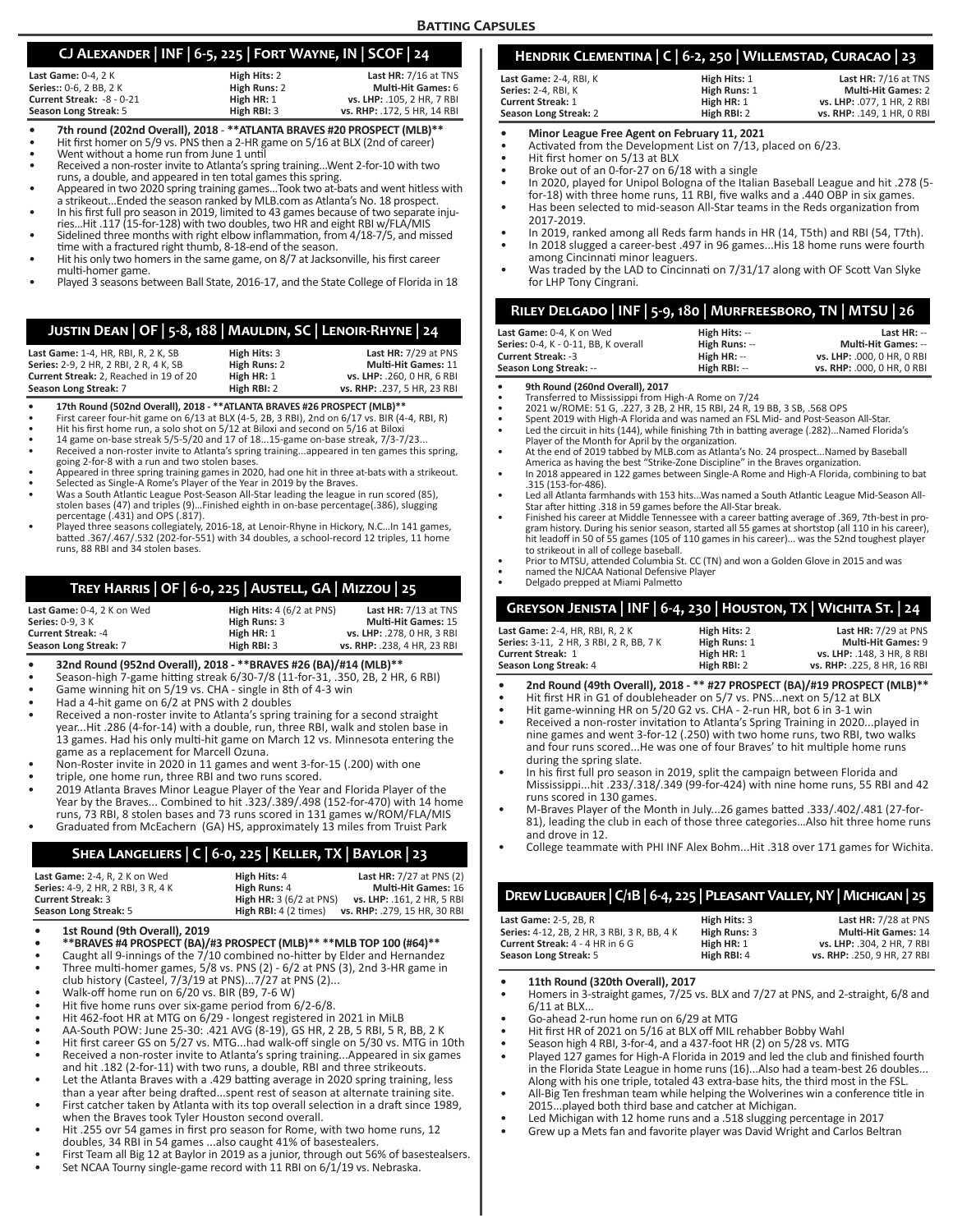# **CJ Alexander | INF | 6-5, 225 | Fort Wayne, IN | SCOF | 24**

|                                |  | _____         | . .                         |
|--------------------------------|--|---------------|-----------------------------|
| Last Game: $0-4.2K$            |  | High Hits: 2  | Last HR: 7/16 at TNS        |
| <b>Series:: 0-6. 2 BB. 2 K</b> |  | High Runs: 2  | <b>Multi-Hit Games: 6</b>   |
| Current Streak: -8 - 0-21      |  | High HR: 1    | vs. LHP: .105. 2 HR. 7 RBI  |
| Season Long Streak: 5          |  | High RBI: $3$ | vs. RHP: .172. 5 HR. 14 RBI |

- **7th round (202nd Overall), 2018 \*\*ATLANTA BRAVES #20 PROSPECT (MLB)\*\***<br>Hit first homer on 5/9 vs. PNS then a 2-HR game on 5/16 at BLX (2nd of career)<br>Went without a home run from June 1 until<br>Received a non-roster invit
- 
- 

- runs, a double, and appeared in ten total games this spring.<br>
 Appeared in two 2020 spring training games...Took two at-bats and went hitless with<br>
 Appeared in two 2020 spring training games...Took two at-bats and went
- In his first full pro season in 2019, limited to 43 games because of two separate inju-<br>ries...Hit .117 (15-for-128) with two doubles, two HR and eight RBI w/FLA/MIS<br>Sidelined three months with right elbow inflammation, fr
- 
- Hit his only two homers in the same game, on 8/7 at Jacksonville, his first career<br>multi-homer game.
- Played 3 seasons between Ball State, 2016-17, and the State College of Florida in 18

# **Justin Dean | OF | 5-8, 188 | Mauldin, SC | Lenoir-Rhyne | 24**

| Last Game: 1-4, HR, RBI, R, 2 K, SB            | High Hits: 3 | Last $HR: 7/29$ at PNS      |
|------------------------------------------------|--------------|-----------------------------|
| <b>Series: 2-9. 2 HR. 2 RBI. 2 R. 4 K. SB.</b> | High Runs: 2 | <b>Multi-Hit Games: 11</b>  |
| Current Streak: 2. Reached in 19 of 20         | High HR: 1   | vs. LHP: .260. 0 HR. 6 RBI  |
| Season Long Streak: 7                          | High RBI: 2  | vs. RHP: .237. 5 HR. 23 RBI |

- 
- 
- 
- **17th Round (502nd Overall), 2018 \*\*ATLANTA BRAVES #26 PROSPECT (MLB)\*\***<br>First career four-hit game on 6/13 at BLX (4-5, 2B, 3 RBI), 2nd on 6/17 vs. BIR (4-4, RBI, R)<br>Hit his first home run, a solo shot on 5/12 at Bliox
- 
- going 2-for-8 with a run and two stolen bases.<br>
 Appeared in three spring training games in 2020, had one hit in three at-bats with a strikeout.<br>
 Selected as Single-A Rome's Player of the Year in 2019 by the Braves.<br>
•
- percentage (.431) and OPS (.817). Played three seasons collegiately, 2016-18, at Lenoir-Rhyne in Hickory, N.C…In 141 games, batted .367/.467/.532 (202-for-551) with 34 doubles, a school-record 12 triples, 11 home runs, 88 RBI and 34 stolen bases.

# **Trey Harris | OF | 6-0, 225 | Austell, GA | Mizzou | 25**

| Last Game: 0-4. 2 K on Wed | <b>High Hits:</b> $4(6/2$ at PNS) | Last $HR: 7/13$ at TNS      |
|----------------------------|-----------------------------------|-----------------------------|
| <b>Series: 0-9. 3 K</b>    | High Runs: 3                      | <b>Multi-Hit Games: 15</b>  |
| <b>Current Streak: -4</b>  | High HR: 1                        | vs. LHP: .278. 0 HR. 3 RBI  |
| Season Long Streak: 7      | High RBI: 3                       | vs. RHP: .238. 4 HR. 23 RBI |

- **• 32nd Round (952nd Overall), 2018 \*\*BRAVES #26 (BA)/#14 (MLB)\*\***
- Season-high 7-game hitting streak 6/30-7/8 (11-for-31, .350, 2B, 2 HR, 6 RBI)
- Game winning hit on 5/19 vs. CHA single in 8th of 4-3 win
- Had a 4-hit game on 6/2 at PNS with 2 doubles
- Received a non-roster invite to Atlanta's spring training for a second straight year...Hit .286 (4-for-14) with a double, run, three RBI, walk and stolen base in 13 games. Had his only multi-hit game on March 12 vs. Minnesota entering the game as a replacement for Marcell Ozuna.
- Non-Roster invite in 2020 in 11 games and went 3-for-15 (.200) with one
- triple, one home run, three RBI and two runs scored.
- 2019 Atlanta Braves Minor League Player of the Year and Florida Player of the Year by the Braves... Combined to hit .323/.389/.498 (152-for-470) with 14 home runs, 73 RBI, 8 stolen bases and 73 runs scored in 131 games w/ROM/FLA/MIS
- Graduated from McEachern (GA) HS, approximately 13 miles from Truist Park

# • College teammate with PHI INF Alex Bohm...Hit .318 over 171 games for Wichita. **Shea Langeliers | C | 6-0, 225 | Keller, TX | Baylor | 23**

| Last Game: 2-4, R, 2 K on Wed      | High Hits: 4                    | <b>Last HR: 7/27 at PNS (2)</b> |
|------------------------------------|---------------------------------|---------------------------------|
| Series: 4-9, 2 HR, 2 RBI, 3 R, 4 K | High Runs: 4                    | <b>Multi-Hit Games: 16</b>      |
| <b>Current Streak: 3</b>           | <b>High HR:</b> $3(6/2$ at PNS) | vs. LHP: .161. 2 HR. 5 RBI      |
| Season Long Streak: 5              | High RBI: 4 (2 times)           | vs. RHP: .279, 15 HR, 30 RBI    |

- **• 1st Round (9th Overall), 2019**
- **• \*\*BRAVES #4 PROSPECT (BA)/#3 PROSPECT (MLB)\*\* \*\*MLB TOP 100 (#64)\*\***
- Caught all 9-innings of the 7/10 combined no-hitter by Elder and Hernandez • Three multi-homer games, 5/8 vs. PNS (2) - 6/2 at PNS (3), 2nd 3-HR game in
- club history (Casteel, 7/3/19 at PNS)...7/27 at PNS (2)...
- Walk-off home run on 6/20 vs. BIR (B9, 7-6 W)
- 
- 
- 
- Received a non-roster invite to Atlanta's spring training...Appeared in six games and hit .182 (2-for-11) with two runs, a double, RBI and three strikeouts.
- when the Braves took Tyler Houston second overall.
- Hit .255 ovr 54 games in first pro season for Rome, with two home runs, 12 doubles, 34 RBI in 54 games ...also caught 41% of basestealers.
- Set NCAA Tourny single-game record with 11 RBI on 6/1/19 vs. Nebraska.
- Hit five home runs over six-game period from 6/2-6/8.
- Hit 462-foot HR at MTG on 6/29 longest registered in 2021 in MiLB
- AA-South POW: June 25-30: .421 AVG (8-19), GS HR, 2 2B, 5 RBI, 5 R, BB, 2 K
- Hit first career GS on 5/27 vs. MTG...had walk-off single on 5/30 vs. MTG in 10th
- Let the Atlanta Braves with a .429 batting average in 2020 spring training, less than a year after being drafted...spent rest of season at alternate training site.
	- First catcher taken by Atlanta with its top overall selection in a draft since 1989,
- 
- First Team all Big 12 at Baylor in 2019 as a junior, through out 56% of basestealsers.

# runs scored in 130 games.

• M-Braves Player of the Month in July...26 games batted .333/.402/.481 (27-for-81), leading the club in each of those three categories…Also hit three home runs

• In his first full pro season in 2019, split the campaign between Florida and Mississippi...hit .233/.318/.349 (99-for-424) with nine home runs, 55 RBI and 42

and drove in 12.<br>College teammate with PHI INF Alex Bohm...Hit .318 over 171 games for Wichita.

# **Drew Lugbauer | C/1B | 6-4, 225 | Pleasant Valley, NY | Michigan | 25**

| <b>Last Game: 2-5, 2B, R</b>                | High Hits: 3 | Last HR: 7/28 at PNS        |
|---------------------------------------------|--------------|-----------------------------|
| Series: 4-12, 2B, 2 HR, 3 RBI, 3 R, BB, 4 K | High Runs: 3 | <b>Multi-Hit Games: 14</b>  |
| <b>Current Streak: 4 - 4 HR in 6 G</b>      | High HR: 1   | vs. LHP: .304. 2 HR. 7 RBI  |
| Season Long Streak: 5                       | High RBI: 4  | vs. RHP: .250. 9 HR. 27 RBI |

- **• 11th Round (320th Overall), 2017**
- Homers in 3-straight games, 7/25 vs. BLX and 7/27 at PNS, and 2-straight, 6/8 and  $6/11$  at RIX.
- Go-ahead 2-run home run on 6/29 at MTG
- Hit first HR of 2021 on 5/16 at BLX off MIL rehabber Bobby Wahl
- Season high 4 RBI, 3-for-4, and a 437-foot HR (2) on 5/28 vs. MTG
- Played 127 games for High-A Florida in 2019 and led the club and finished fourth in the Florida State League in home runs (16)...Also had a team-best 26 doubles... Along with his one triple, totaled 43 extra-base hits, the third most in the FSL.
- All-Big Ten freshman team while helping the Wolverines win a conference title in 2015...played both third base and catcher at Michigan.
- Led Michigan with 12 home runs and a .518 slugging percentage in 2017
- Grew up a Mets fan and favorite player was David Wright and Carlos Beltran
- **Hendrik Clementina | C | 6-2, 250 | Willemstad, Curacao | 23 Last Game:** 2-4, RBI, K<br>**Series:** 2-4, RBI, K **High Runs: 1 <b>High Runs:** 1 **Multi-Hit Games:** 2-4, RBI, K
- **Series:** 2-4, RBI, K **High Runs:** 1 **Multi-Hit Games:** 2 **Current Streak: 1**<br> **High HR: 1 vs. LHP:** .077, 1 HR, 2 RBI<br> **High RBI: 2 vs. RHP:** .149, 1 HR, 0 RBI **Season Long Streak:** 2 **High RBI:** 2 **vs. RHP:** .149, 1 HR, 0 RBI
- 
- **Minor League Free Agent on February 11, 2021**<br>• Activated from the Development List on 7/13, placed on 6/23.
- Hit first homer on 5/13 at BLX
- Broke out of an 0-for-27 on 6/18 with a single • In 2020, played for Unipol Bologna of the Italian Baseball League and hit .278 (5-
- for-18) with three home runs, 11 RBI, five walks and a .440 OBP in six games. • Has been selected to mid-season All-Star teams in the Reds organization from
- 2017-2019.
- In 2019, ranked among all Reds farm hands in HR (14, T5th) and RBI (54, T7th). In 2018 slugged a career-best .497 in 96 games...His 18 home runs were fourth among Cincinnati minor leaguers.
- Was traded by the LAD to Cincinnati on 7/31/17 along with OF Scott Van Slyke for LHP Tony Cingrani.

# **Riley Delgado | INF | 5-9, 180 | Murfreesboro, TN | MTSU | 26**

| Last Game: 0-4. K on Wed             | High Hits: -- | Last $HR: -$               |
|--------------------------------------|---------------|----------------------------|
| Series: 0-4. K - 0-11. BB. K overall | High Runs: -- | <b>Multi-Hit Games: --</b> |
| <b>Current Streak: -3</b>            | High HR: --   | vs. LHP: .000. 0 HR. 0 RBI |
| Season Long Streak: --               | High RBI: --  | vs. RHP: .000, 0 HR, 0 RBI |

**• 9th Round (260nd Overall), 2017**

- Transferred to Mississippi from High-A Rome on 7/24 2021 w/ROME: 51 G, .227, 3 2B, 2 HR, 15 RBI, 24 R, 19 BB, 3 SB, .568 OPS
- Spent 2019 with High-A Florida and was named an FSL Mid- and Post-Season All-Star.
- Led the circuit in hits (144), while finishing 7th in batting average (.282)...Named Florida's Player of the Month for April by the organization.
- At the end of 2019 tabbed by MLB.com as Atlanta's No. 24 prospect...Named by Baseball
- America as having the best "Strike-Zone Discipline" in the Braves organization. In 2018 appeared in 122 games between Single-A Rome and High-A Florida, combining to bat
- .315 (153-for-486). • Led all Atlanta farmhands with 153 hits...Was named a South Atlantic League Mid-Season All-Star after hitting .318 in 59 games before the All-Star break.
- Finished his career at Middle Tennessee with a career batting average of .369, 7th-best in program history. During his senior season, started all 55 games at shortstop (all 110 in his career), hit leadoff in 50 of 55 games (105 of 110 games in his career)... was the 52nd toughest player
- to strikeout in all of college baseball. Prior to MTSU, attended Columbia St. CC (TN) and won a Golden Glove in 2015 and was named the NJCAA National Defensive Player Delgado prepped at Miami Palmetto Player Delgad
- 

during the spring slate.

# **Greyson Jenista | INF | 6-4, 230 | Houston, TX | Wichita St. | 24**

| Last Game: 2-4. HR. RBI. R. 2 K         | High Hits: 2 | Last HR: 7/29 at PNS        |
|-----------------------------------------|--------------|-----------------------------|
| Series: 3-11, 2 HR, 3 RBI, 2 R, BB, 7 K | High Runs: 1 | <b>Multi-Hit Games: 9</b>   |
| <b>Current Streak: 1</b>                | High HR: 1   | vs. LHP: .148. 3 HR. 8 RBI  |
| Season Long Streak: 4                   | High RBI: 2  | vs. RHP: .225. 8 HR. 16 RBI |

# **• 2nd Round (49th Overall), 2018 - \*\* #27 PROSPECT (BA)/#19 PROSPECT (MLB)\*\***

• Received a non-roster invitation to Atlanta's Spring Training in 2020...played in nine games and went 3-for-12 (.250) with two home runs, two RBI, two walks and four runs scored...He was one of four Braves' to hit multiple home runs

• Hit first HR in G1 of doubleheader on 5/7 vs. PNS...next on 5/12 at BLX • Hit game-winning HR on 5/20 G2 vs. CHA - 2-run HR, bot 6 in 3-1 win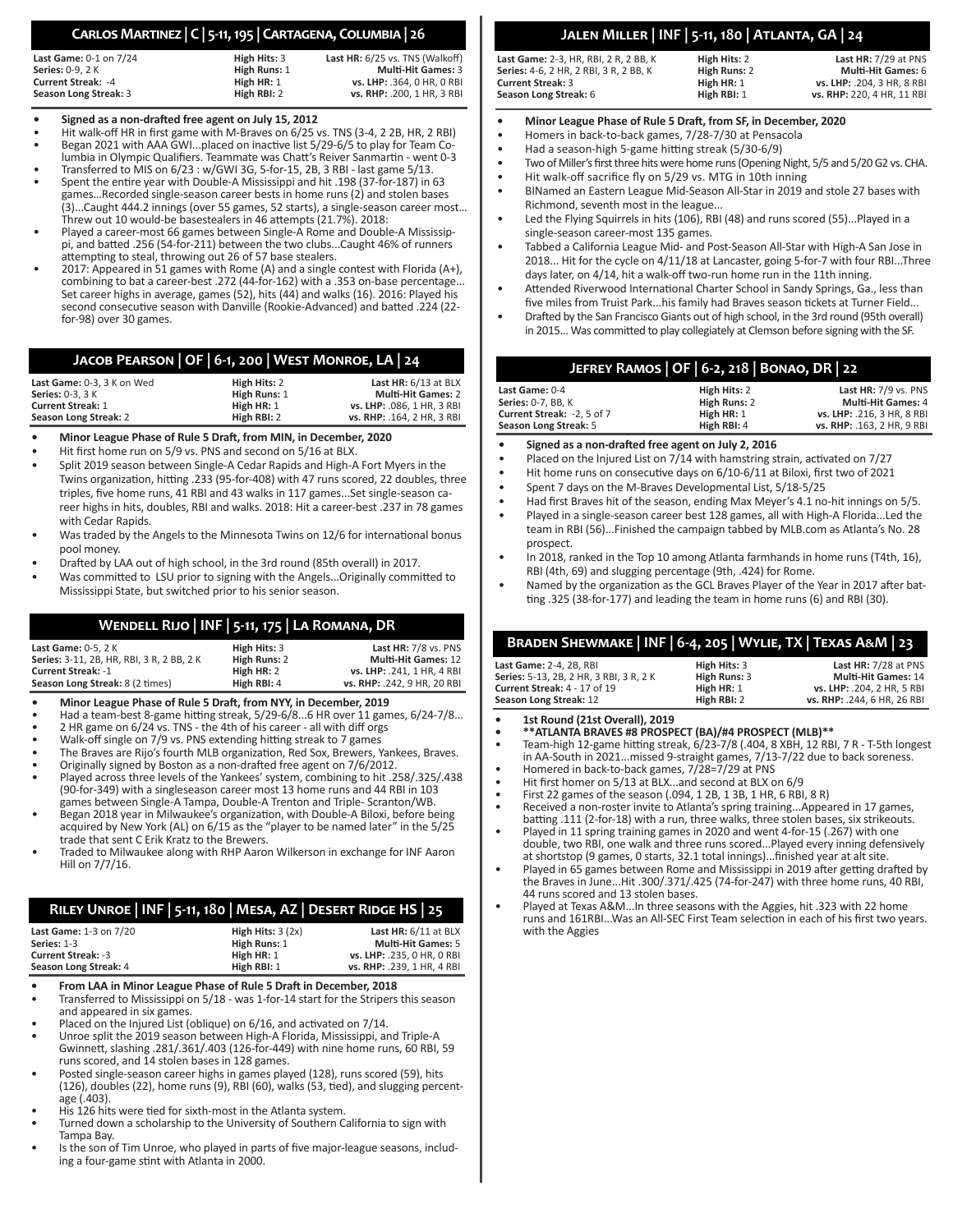# **Carlos Martinez | C | 5-11, 195 | Cartagena, Columbia | 26**

| <b>Last Game: 0-1 on 7/24</b> | High Hits: 3 | Last HR: 6/25 vs. TNS (Walkoff) |
|-------------------------------|--------------|---------------------------------|
| <b>Series:</b> 0-9. 2 K       | High Runs: 1 | <b>Multi-Hit Games: 3</b>       |
| <b>Current Streak: -4</b>     | High HR: 1   | vs. LHP: .364. 0 HR. 0 RBI      |
| Season Long Streak: 3         | High RBI: 2  | vs. RHP: .200. 1 HR. 3 RBI      |

#### **• Signed as a non-drafted free agent on July 15, 2012**

- Hit walk-off HR in first game with M-Braves on 6/25 vs. TNS (3-4, 2 2B, HR, 2 RBI)
- Began 2021 with AAA GWI...placed on inactive list 5/29-6/5 to play for Team Columbia in Olympic Qualifiers. Teammate was Chatt's Reiver Sanmartin - went 0-3
- Transferred to MIS on 6/23 : w/GWI 3G, 5-for-15, 2B, 3 RBI last game 5/13.
- Spent the entire year with Double-A Mississippi and hit .198 (37-for-187) in 63 games…Recorded single-season career bests in home runs (2) and stolen bases (3)...Caught 444.2 innings (over 55 games, 52 starts), a single-season career most… Threw out 10 would-be basestealers in 46 attempts (21.7%). 2018:
- Played a career-most 66 games between Single-A Rome and Double-A Mississippi, and batted .256 (54-for-211) between the two clubs...Caught 46% of runners attempting to steal, throwing out 26 of 57 base stealers.
- 2017: Appeared in 51 games with Rome (A) and a single contest with Florida (A+), combining to bat a career-best .272 (44-for-162) with a .353 on-base percentage... Set career highs in average, games (52), hits (44) and walks (16). 2016: Played his second consecutive season with Danville (Rookie-Advanced) and batted .224 (22 for-98) over 30 games.

# **Jacob Pearson | OF | 6-1, 200 | West Monroe, LA | 24**

| Last Game: 0-3. 3 K on Wed | High Hits: 2 | Last HR: 6/13 at BLX       |
|----------------------------|--------------|----------------------------|
| <b>Series:</b> 0-3. 3 K    | High Runs: 1 | <b>Multi-Hit Games: 2</b>  |
| <b>Current Streak: 1</b>   | High HR: 1   | vs. LHP: .086. 1 HR. 3 RBI |
| Season Long Streak: 2      | High RBI: 2  | vs. RHP: .164. 2 HR. 3 RBI |

**• Minor League Phase of Rule 5 Draft, from MIN, in December, 2020**

- Hit first home run on 5/9 vs. PNS and second on 5/16 at BLX.
- Split 2019 season between Single-A Cedar Rapids and High-A Fort Myers in the Twins organization, hitting .233 (95-for-408) with 47 runs scored, 22 doubles, three triples, five home runs, 41 RBI and 43 walks in 117 games...Set single-season career highs in hits, doubles, RBI and walks. 2018: Hit a career-best .237 in 78 games with Cedar Rapids.
- Was traded by the Angels to the Minnesota Twins on 12/6 for international bonus pool money.
- Drafted by LAA out of high school, in the 3rd round (85th overall) in 2017.
- Was committed to LSU prior to signing with the Angels...Originally committed to Mississippi State, but switched prior to his senior season.

# **Wendell Rijo | INF | 5-11, 175 | La Romana, DR**

| <b>Last Game: 0-5, 2 K</b>             | High Hits: 3 | Last HR: $7/8$ vs. PNS      |
|----------------------------------------|--------------|-----------------------------|
| Series: 3-11, 2B, HR, RBI, 3R, 2BB, 2K | High Runs: 2 | <b>Multi-Hit Games: 12</b>  |
| <b>Current Streak: -1</b>              | High HR: 2   | vs. LHP: .241. 1 HR. 4 RBI  |
| Season Long Streak: 8 (2 times)        | High RBI: 4  | vs. RHP: .242, 9 HR, 20 RBI |

- **• Minor League Phase of Rule 5 Draft, from NYY, in December, 2019**
- Had a team-best 8-game hitting streak, 5/29-6/8...6 HR over 11 games, 6/24-7/8...
- 2 HR game on 6/24 vs. TNS the 4th of his career all with diff orgs
- Walk-off single on 7/9 vs. PNS extending hitting streak to 7 games
- The Braves are Rijo's fourth MLB organization, Red Sox, Brewers, Yankees, Braves.
- Originally signed by Boston as a non-drafted free agent on 7/6/2012.
- Played across three levels of the Yankees' system, combining to hit .258/.325/.438 (90-for-349) with a singleseason career most 13 home runs and 44 RBI in 103 games between Single-A Tampa, Double-A Trenton and Triple- Scranton/WB.
- Began 2018 year in Milwaukee's organization, with Double-A Biloxi, before being acquired by New York (AL) on 6/15 as the "player to be named later" in the 5/25 trade that sent C Erik Kratz to the Brewers.
- Traded to Milwaukee along with RHP Aaron Wilkerson in exchange for INF Aaron Hill on 7/7/16.

# **Riley Unroe | INF | 5-11, 180 | Mesa, AZ | Desert Ridge HS | 25**

| <b>Last Game: 1-3 on 7/20</b> | High Hits: $3(2x)$ | Last $HR: 6/11$ at BLX     |
|-------------------------------|--------------------|----------------------------|
| Series: 1-3                   | High Runs: 1       | <b>Multi-Hit Games: 5</b>  |
| <b>Current Streak: -3</b>     | High HR: 1         | vs. LHP: .235. 0 HR. 0 RBI |
| Season Long Streak: 4         | High RBI: 1        | vs. RHP: .239. 1 HR. 4 RBI |

- **• From LAA in Minor League Phase of Rule 5 Draft in December, 2018**
- Transferred to Mississippi on 5/18 was 1-for-14 start for the Stripers this season and appeared in six games.
- Placed on the Injured List (oblique) on 6/16, and activated on 7/14.
- Unroe split the 2019 season between High-A Florida, Mississippi, and Triple-A Gwinnett, slashing .281/.361/.403 (126-for-449) with nine home runs, 60 RBI, 59 runs scored, and  $14$  stolen bases in 128 games.
- Posted single-season career highs in games played (128), runs scored (59), hits (126), doubles (22), home runs (9), RBI (60), walks (53, tied), and slugging percentage (.403).
- His 126 hits were tied for sixth-most in the Atlanta system.
- Turned down a scholarship to the University of Southern California to sign with Tampa Bay.
- Is the son of Tim Unroe, who played in parts of five major-league seasons, including a four-game stint with Atlanta in 2000.

# **Jalen Miller | INF | 5-11, 180 | Atlanta, GA | 24**

| Last Game: 2-3. HR. RBI. 2 R. 2 BB. K  | High Hits: 2 | Last HR: 7/29 at PNS       |
|----------------------------------------|--------------|----------------------------|
| Series: 4-6. 2 HR. 2 RBI. 3 R. 2 BB. K | High Runs: 2 | <b>Multi-Hit Games: 6</b>  |
| Current Streak: 3                      | High HR: 1   | vs. LHP: .204. 3 HR. 8 RBI |
| Season Long Streak: 6                  | High RBI: 1  | vs. RHP: 220, 4 HR, 11 RBI |

- **• Minor League Phase of Rule 5 Draft, from SF, in December, 2020**
- Homers in back-to-back games, 7/28-7/30 at Pensacola
- Had a season-high 5-game hitting streak (5/30-6/9)
- Two of Miller's first three hits were home runs (Opening Night, 5/5 and 5/20 G2 vs. CHA.
- Hit walk-off sacrifice fly on 5/29 vs. MTG in 10th inning • BINamed an Eastern League Mid-Season All-Star in 2019 and stole 27 bases with
- Richmond, seventh most in the league... Led the Flying Squirrels in hits (106), RBI (48) and runs scored (55)...Played in a
- single-season career-most 135 games.
- Tabbed a California League Mid- and Post-Season All-Star with High-A San Jose in 2018... Hit for the cycle on 4/11/18 at Lancaster, going 5-for-7 with four RBI...Three days later, on 4/14, hit a walk-off two-run home run in the 11th inning.
- Attended Riverwood International Charter School in Sandy Springs, Ga., less than five miles from Truist Park...his family had Braves season tickets at Turner Field...
- Drafted by the San Francisco Giants out of high school, in the 3rd round (95th overall) in 2015... Was committed to play collegiately at Clemson before signing with the SF.

| JEFREY RAMOS   OF   6-2, 218   BONAO, DR   22 |              |                            |
|-----------------------------------------------|--------------|----------------------------|
| Last Game: 0-4                                | High Hits: 2 | Last HR: $7/9$ vs. PNS     |
| <b>Series:</b> 0-7. BB. K                     | High Runs: 2 | <b>Multi-Hit Games: 4</b>  |
| Current Streak: -2, 5 of 7                    | High HR: 1   | vs. LHP: .216, 3 HR, 8 RBI |

**Season Long Streak:** 5 **High RBI:** 4 **vs. RHP:** .163, 2 HR, 9 RBI

- **• Signed as a non-drafted free agent on July 2, 2016**
- Placed on the Injured List on 7/14 with hamstring strain, activated on 7/27
- Hit home runs on consecutive days on 6/10-6/11 at Biloxi, first two of 2021
- Spent 7 days on the M-Braves Developmental List, 5/18-5/25
- Had first Braves hit of the season, ending Max Meyer's 4.1 no-hit innings on 5/5. • Played in a single-season career best 128 games, all with High-A Florida...Led the team in RBI (56)...Finished the campaign tabbed by MLB.com as Atlanta's No. 28 prospect.
- In 2018, ranked in the Top 10 among Atlanta farmhands in home runs (T4th, 16), RBI (4th, 69) and slugging percentage (9th, .424) for Rome.
- Named by the organization as the GCL Braves Player of the Year in 2017 after batting .325 (38-for-177) and leading the team in home runs (6) and RBI (30).

# **Braden Shewmake | INF | 6-4, 205 | Wylie, TX | Texas A&M | 23**

| Last Game: 2-4, 2B, RBI                 | High Hits: 3 | Last HR: $7/28$ at PNS      |
|-----------------------------------------|--------------|-----------------------------|
| Series: 5-13, 2B, 2 HR, 3 RBI, 3 R, 2 K | High Runs: 3 | <b>Multi-Hit Games: 14</b>  |
| <b>Current Streak: 4 - 17 of 19</b>     | High HR: 1   | vs. LHP: .204. 2 HR. 5 RBI  |
| Season Long Streak: 12                  | High RBI: 2  | vs. RHP: .244. 6 HR. 26 RBI |
|                                         |              |                             |

**• 1st Round (21st Overall), 2019**

- **• \*\*ATLANTA BRAVES #8 PROSPECT (BA)/#4 PROSPECT (MLB)\*\***
- Team-high 12-game hitting streak, 6/23-7/8 (.404, 8 XBH, 12 RBI, 7 R T-5th longest in AA-South in 2021...missed 9-straight games, 7/13-7/22 due to back soreness.
- Homered in back-to-back games, 7/28=7/29 at PNS
- Hit first homer on 5/13 at BLX...and second at BLX on 6/9
- First 22 games of the season (.094, 1 2B, 1 3B, 1 HR, 6 RBI, 8 R)
- Received a non-roster invite to Atlanta's spring training...Appeared in 17 games, batting .111 (2-for-18) with a run, three walks, three stolen bases, six strikeouts.
- Played in 11 spring training games in 2020 and went 4-for-15 (.267) with one double, two RBI, one walk and three runs scored...Played every inning defensively at shortstop (9 games, 0 starts, 32.1 total innings)...finished year at alt site.
- Played in 65 games between Rome and Mississippi in 2019 after getting drafted by the Braves in June...Hit .300/.371/.425 (74-for-247) with three home runs, 40 RBI, 44 runs scored and 13 stolen bases.
- Played at Texas A&M...In three seasons with the Aggies, hit .323 with 22 home runs and 161RBI...Was an All-SEC First Team selection in each of his first two years. with the Aggies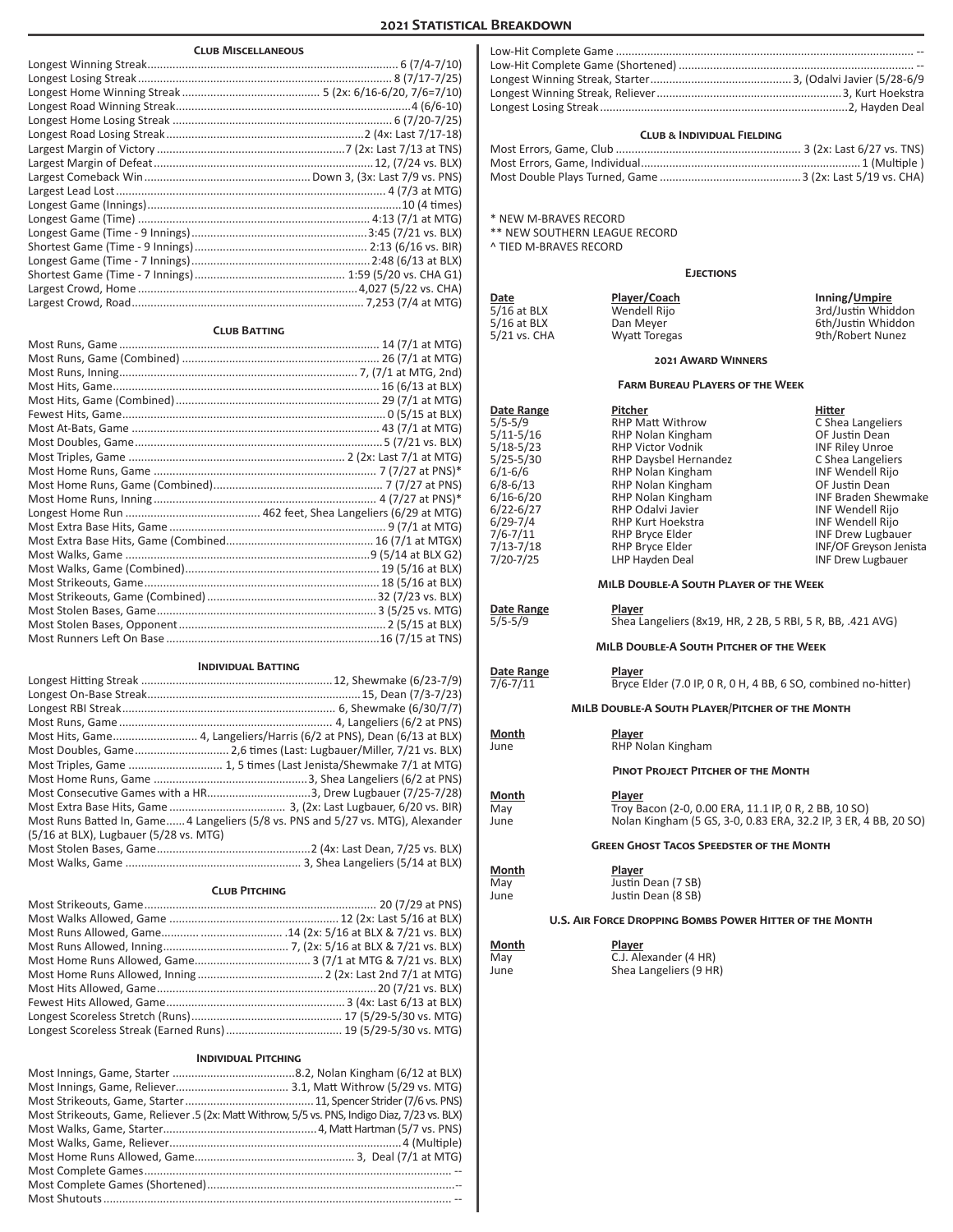# **2021 Statistical Breakdown**

| <b>CLUB MISCELLANEOUS</b>                                                        |  |
|----------------------------------------------------------------------------------|--|
|                                                                                  |  |
|                                                                                  |  |
|                                                                                  |  |
|                                                                                  |  |
|                                                                                  |  |
|                                                                                  |  |
|                                                                                  |  |
|                                                                                  |  |
|                                                                                  |  |
|                                                                                  |  |
|                                                                                  |  |
|                                                                                  |  |
|                                                                                  |  |
|                                                                                  |  |
|                                                                                  |  |
|                                                                                  |  |
|                                                                                  |  |
|                                                                                  |  |
| <b>CLUB BATTING</b>                                                              |  |
|                                                                                  |  |
|                                                                                  |  |
|                                                                                  |  |
|                                                                                  |  |
|                                                                                  |  |
|                                                                                  |  |
|                                                                                  |  |
|                                                                                  |  |
|                                                                                  |  |
|                                                                                  |  |
|                                                                                  |  |
|                                                                                  |  |
|                                                                                  |  |
|                                                                                  |  |
|                                                                                  |  |
|                                                                                  |  |
|                                                                                  |  |
|                                                                                  |  |
|                                                                                  |  |
|                                                                                  |  |
|                                                                                  |  |
|                                                                                  |  |
| <b>INDIVIDUAL BATTING</b>                                                        |  |
|                                                                                  |  |
|                                                                                  |  |
|                                                                                  |  |
|                                                                                  |  |
| Most Hits, Game 4, Langeliers/Harris (6/2 at PNS), Dean (6/13 at BLX)            |  |
| Most Doubles, Game 2,6 times (Last: Lugbauer/Miller, 7/21 vs. BLX)               |  |
| Most Triples, Game  1, 5 times (Last Jenista/Shewmake 7/1 at MTG)                |  |
|                                                                                  |  |
| Most Consecutive Games with a HR3, Drew Lugbauer (7/25-7/28)                     |  |
|                                                                                  |  |
| Most Runs Batted In, Game 4 Langeliers (5/8 vs. PNS and 5/27 vs. MTG), Alexander |  |
| (5/16 at BLX), Lugbauer (5/28 vs. MTG)                                           |  |
|                                                                                  |  |
|                                                                                  |  |
| <b>CLUB PITCHING</b>                                                             |  |
|                                                                                  |  |
|                                                                                  |  |
|                                                                                  |  |
|                                                                                  |  |
|                                                                                  |  |

|                                                         | <b>CLUB &amp; INDIVIDUAL FIELDING</b>                                                                 |                                              |
|---------------------------------------------------------|-------------------------------------------------------------------------------------------------------|----------------------------------------------|
|                                                         |                                                                                                       |                                              |
|                                                         |                                                                                                       |                                              |
|                                                         |                                                                                                       |                                              |
| * NEW M-BRAVES RECORD                                   |                                                                                                       |                                              |
| ** NEW SOUTHERN LEAGUE RECORD                           |                                                                                                       |                                              |
| ^ TIED M-BRAVES RECORD                                  |                                                                                                       |                                              |
|                                                         | <b>EJECTIONS</b>                                                                                      |                                              |
| Date                                                    | Player/Coach                                                                                          | Inning/Umpire                                |
| 5/16 at BLX                                             | Wendell Rijo                                                                                          | 3rd/Justin Whiddon                           |
| $5/16$ at BLX                                           | Dan Meyer                                                                                             | 6th/Justin Whiddon                           |
| 5/21 vs. CHA                                            | <b>Wyatt Toregas</b>                                                                                  | 9th/Robert Nunez                             |
|                                                         | <b>2021 AWARD WINNERS</b>                                                                             |                                              |
|                                                         | <b>FARM BUREAU PLAYERS OF THE WEEK</b>                                                                |                                              |
| Date Range                                              | Pitcher                                                                                               | Hitter                                       |
| $5/5 - 5/9$<br>5/11-5/16                                | RHP Matt Withrow<br>RHP Nolan Kingham                                                                 | C Shea Langeliers<br>OF Justin Dean          |
| $5/18-5/23$                                             | <b>RHP Victor Vodnik</b>                                                                              | <b>INF Riley Unroe</b>                       |
| 5/25-5/30                                               | RHP Daysbel Hernandez                                                                                 | C Shea Langeliers                            |
| $6/1 - 6/6$<br>6/8-6/13                                 | RHP Nolan Kingham<br>RHP Nolan Kingham                                                                | INF Wendell Rijo<br>OF Justin Dean           |
| 6/16-6/20                                               | RHP Nolan Kingham                                                                                     | <b>INF Braden Shewmake</b>                   |
| 6/22-6/27                                               | RHP Odalvi Javier                                                                                     | INF Wendell Rijo                             |
| 6/29-7/4<br>7/6-7/11                                    | RHP Kurt Hoekstra<br>RHP Bryce Elder                                                                  | INF Wendell Rijo<br><b>INF Drew Lugbauer</b> |
| 7/13-7/18                                               | RHP Bryce Elder                                                                                       | INF/OF Greyson Jenista                       |
| 7/20-7/25                                               | LHP Hayden Deal                                                                                       | <b>INF Drew Lugbauer</b>                     |
|                                                         | MILB DOUBLE-A SOUTH PLAYER OF THE WEEK                                                                |                                              |
| Date Range<br>$5/5 - 5/9$                               | Player                                                                                                |                                              |
|                                                         | Shea Langeliers (8x19, HR, 2 2B, 5 RBI, 5 R, BB, .421 AVG)<br>MILB DOUBLE-A SOUTH PITCHER OF THE WEEK |                                              |
|                                                         |                                                                                                       |                                              |
| Date Range<br>7/6-7/11                                  | Player<br>Bryce Elder (7.0 IP, 0 R, 0 H, 4 BB, 6 SO, combined no-hitter)                              |                                              |
|                                                         | MILB DOUBLE-A SOUTH PLAYER/PITCHER OF THE MONTH                                                       |                                              |
| Month                                                   | Player                                                                                                |                                              |
| June                                                    | RHP Nolan Kingham                                                                                     |                                              |
|                                                         | <b>PINOT PROJECT PITCHER OF THE MONTH</b>                                                             |                                              |
| <b>Month</b>                                            | Player                                                                                                |                                              |
| May                                                     | Troy Bacon (2-0, 0.00 ERA, 11.1 IP, 0 R, 2 BB, 10 SO)                                                 |                                              |
| June                                                    | Nolan Kingham (5 GS, 3-0, 0.83 ERA, 32.2 IP, 3 ER, 4 BB, 20 SO)                                       |                                              |
|                                                         | <b>GREEN GHOST TACOS SPEEDSTER OF THE MONTH</b>                                                       |                                              |
| Month                                                   | Player                                                                                                |                                              |
| May<br>June                                             | Justin Dean (7 SB)<br>Justin Dean (8 SB)                                                              |                                              |
|                                                         |                                                                                                       |                                              |
| U.S. AIR FORCE DROPPING BOMBS POWER HITTER OF THE MONTH |                                                                                                       |                                              |
| Month<br>May                                            | Player<br>C.J. Alexander (4 HR)                                                                       |                                              |
| June                                                    | Shea Langeliers (9 HR)                                                                                |                                              |
|                                                         |                                                                                                       |                                              |
|                                                         |                                                                                                       |                                              |

Low-Hit Complete Game ............................................................................................... -- Low-Hit Complete Game (Shortened) ........................................................................... -- Longest Winning Streak, Starter.............................................3, (Odalvi Javier (5/28-6/9

# Longest Scoreless Streak (Earned Runs)..................................... 19 (5/29-5/30 vs. MTG) **Individual Pitching**

Most Home Runs Allowed, Inning ........................................ 2 (2x: Last 2nd 7/1 at MTG) Most Hits Allowed, Game......................................................................20 (7/21 vs. BLX) Fewest Hits Allowed, Game......................................................... 3 (4x: Last 6/13 at BLX) Longest Scoreless Stretch (Runs)................................................ 17 (5/29-5/30 vs. MTG)

| Most Strikeouts, Game, Reliever .5 (2x: Matt Withrow, 5/5 vs. PNS, Indigo Diaz, 7/23 vs. BLX) |  |
|-----------------------------------------------------------------------------------------------|--|
|                                                                                               |  |
|                                                                                               |  |
|                                                                                               |  |
|                                                                                               |  |
|                                                                                               |  |
|                                                                                               |  |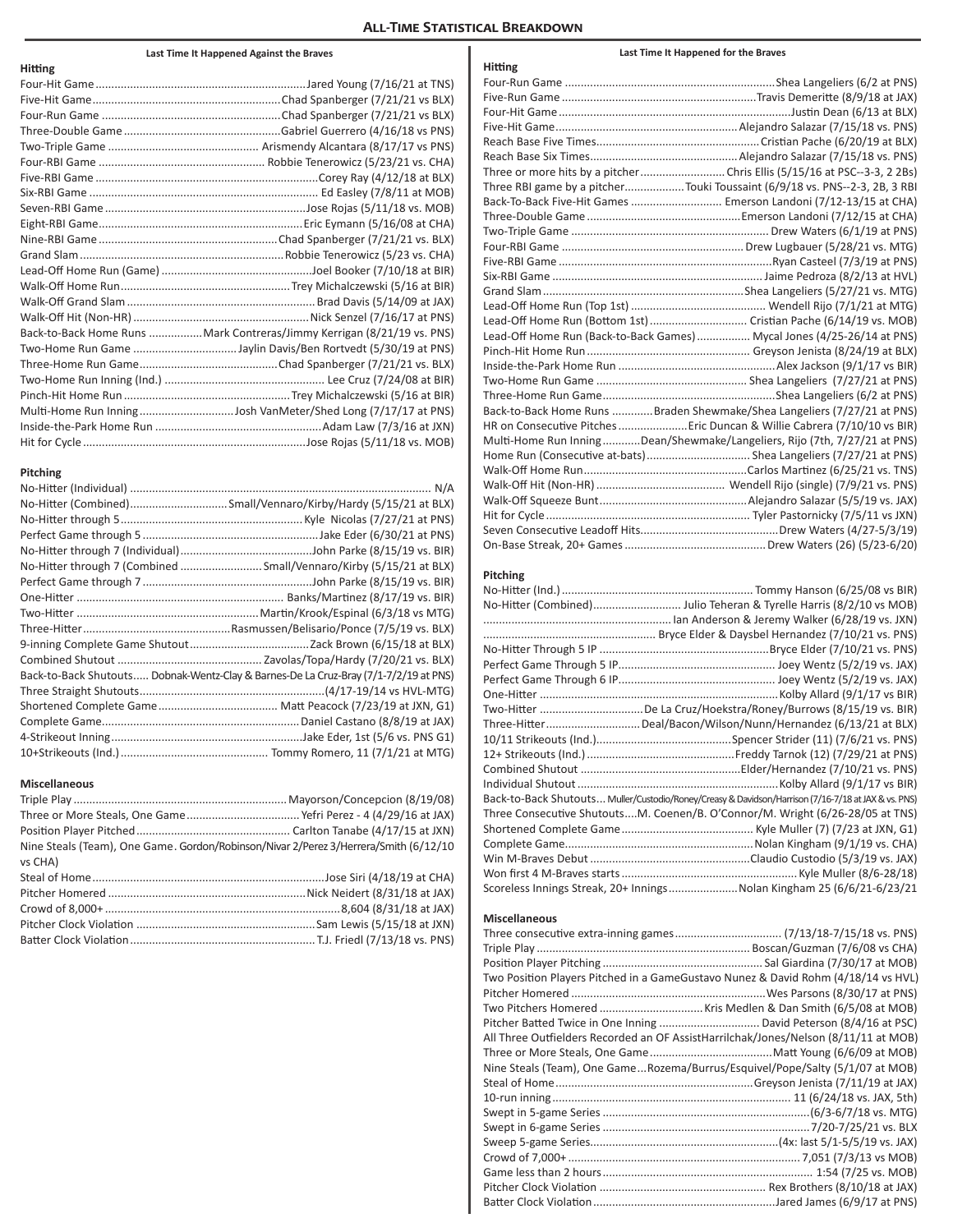# **All-Time Statistical Breakdown**

#### **Last Time It Happened Against the Braves**

| Hitting |                                                                        |
|---------|------------------------------------------------------------------------|
|         |                                                                        |
|         |                                                                        |
|         |                                                                        |
|         |                                                                        |
|         |                                                                        |
|         |                                                                        |
|         |                                                                        |
|         |                                                                        |
|         |                                                                        |
|         |                                                                        |
|         |                                                                        |
|         |                                                                        |
|         |                                                                        |
|         |                                                                        |
|         |                                                                        |
|         |                                                                        |
|         | Back-to-Back Home Runs Mark Contreras/Jimmy Kerrigan (8/21/19 vs. PNS) |
|         |                                                                        |
|         |                                                                        |
|         |                                                                        |
|         |                                                                        |
|         | Multi-Home Run InningJosh VanMeter/Shed Long (7/17/17 at PNS)          |
|         |                                                                        |
|         |                                                                        |

#### **Pitching**

| No-Hitter (Combined)Small/Vennaro/Kirby/Hardy (5/15/21 at BLX)                       |
|--------------------------------------------------------------------------------------|
|                                                                                      |
|                                                                                      |
|                                                                                      |
| No-Hitter through 7 (Combined Small/Vennaro/Kirby (5/15/21 at BLX)                   |
|                                                                                      |
|                                                                                      |
|                                                                                      |
|                                                                                      |
|                                                                                      |
|                                                                                      |
| Back-to-Back Shutouts Dobnak-Wentz-Clay & Barnes-De La Cruz-Bray (7/1-7/2/19 at PNS) |
|                                                                                      |
|                                                                                      |
|                                                                                      |
|                                                                                      |
|                                                                                      |

#### **Miscellaneous**

| Nine Steals (Team), One Game. Gordon/Robinson/Nivar 2/Perez 3/Herrera/Smith (6/12/10 |         |  |
|--------------------------------------------------------------------------------------|---------|--|
|                                                                                      |         |  |
|                                                                                      |         |  |
|                                                                                      |         |  |
|                                                                                      | vs CHA) |  |
|                                                                                      |         |  |
|                                                                                      |         |  |
|                                                                                      |         |  |
|                                                                                      |         |  |
|                                                                                      |         |  |

| Hitting |                                                                            |
|---------|----------------------------------------------------------------------------|
|         |                                                                            |
|         |                                                                            |
|         |                                                                            |
|         |                                                                            |
|         |                                                                            |
|         |                                                                            |
|         |                                                                            |
|         | Three RBI game by a pitcherTouki Toussaint (6/9/18 vs. PNS--2-3, 2B, 3 RBI |
|         | Back-To-Back Five-Hit Games  Emerson Landoni (7/12-13/15 at CHA)           |
|         |                                                                            |
|         |                                                                            |
|         |                                                                            |
|         |                                                                            |
|         |                                                                            |
|         |                                                                            |
|         |                                                                            |
|         | Lead-Off Home Run (Bottom 1st) Cristian Pache (6/14/19 vs. MOB)            |
|         | Lead-Off Home Run (Back-to-Back Games)  Mycal Jones (4/25-26/14 at PNS)    |
|         |                                                                            |
|         |                                                                            |
|         |                                                                            |
|         |                                                                            |
|         | Back-to-Back Home Runs Braden Shewmake/Shea Langeliers (7/27/21 at PNS)    |
|         | HR on Consecutive Pitches  Eric Duncan & Willie Cabrera (7/10/10 vs BIR)   |
|         | Multi-Home Run InningDean/Shewmake/Langeliers, Rijo (7th, 7/27/21 at PNS)  |
|         | Home Run (Consecutive at-bats) Shea Langeliers (7/27/21 at PNS)            |
|         |                                                                            |
|         |                                                                            |
|         |                                                                            |
|         |                                                                            |
|         |                                                                            |
|         |                                                                            |

**Last Time It Happened for the Braves**

## **Pitching**

| No-Hitter (Combined) Julio Teheran & Tyrelle Harris (8/2/10 vs MOB)                                 |
|-----------------------------------------------------------------------------------------------------|
|                                                                                                     |
|                                                                                                     |
|                                                                                                     |
|                                                                                                     |
|                                                                                                     |
|                                                                                                     |
| Two-Hitter De La Cruz/Hoekstra/Roney/Burrows (8/15/19 vs. BIR)                                      |
| Three-Hitter Deal/Bacon/Wilson/Nunn/Hernandez (6/13/21 at BLX)                                      |
|                                                                                                     |
|                                                                                                     |
|                                                                                                     |
|                                                                                                     |
| Back-to-Back Shutouts Muller/Custodio/Roney/Creasy & Davidson/Harrison (7/16-7/18 at JAX & vs. PNS) |
| Three Consecutive ShutoutsM. Coenen/B. O'Connor/M. Wright (6/26-28/05 at TNS)                       |
|                                                                                                     |
|                                                                                                     |
|                                                                                                     |
|                                                                                                     |
| Scoreless Innings Streak, 20+ InningsNolan Kingham 25 (6/6/21-6/23/21                               |

#### **Miscellaneous**

| Two Position Players Pitched in a GameGustavo Nunez & David Rohm (4/18/14 vs HVL)   |  |
|-------------------------------------------------------------------------------------|--|
|                                                                                     |  |
|                                                                                     |  |
|                                                                                     |  |
| All Three Outfielders Recorded an OF AssistHarrilchak/Jones/Nelson (8/11/11 at MOB) |  |
|                                                                                     |  |
| Nine Steals (Team), One GameRozema/Burrus/Esquivel/Pope/Salty (5/1/07 at MOB)       |  |
|                                                                                     |  |
|                                                                                     |  |
|                                                                                     |  |
|                                                                                     |  |
|                                                                                     |  |
|                                                                                     |  |
|                                                                                     |  |
|                                                                                     |  |
|                                                                                     |  |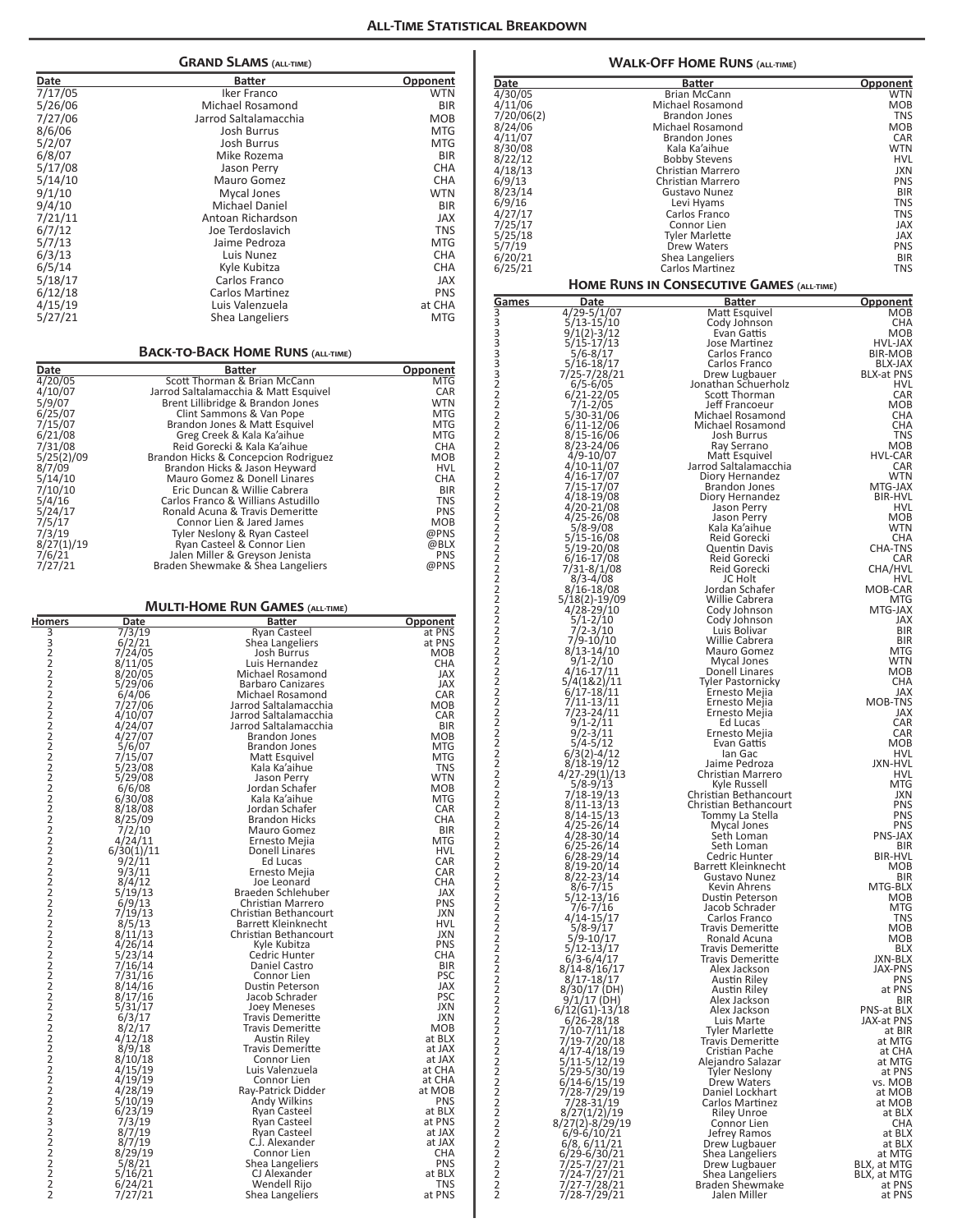|                     |                    |                                                                            | ALL-TIME STATIS          |
|---------------------|--------------------|----------------------------------------------------------------------------|--------------------------|
|                     |                    | <b>GRAND SLAMS</b> (ALL-TIME)                                              |                          |
| Date                |                    | Batter                                                                     | <u>Opponent</u>          |
| 7/17/05             |                    | Iker Franco                                                                | WTN                      |
| 5/26/06             |                    | Michael Rosamond                                                           | <b>BIR</b>               |
| 7/27/06             |                    | Jarrod Saltalamacchia                                                      | МОВ                      |
| 8/6/06              |                    | Josh Burrus                                                                | <b>MTG</b>               |
| 5/2/07              |                    | <b>Josh Burrus</b>                                                         | MTG<br><b>BIR</b>        |
| 6/8/07<br>5/17/08   |                    | Mike Rozema<br>Jason Perry                                                 | CHA                      |
| 5/14/10             |                    | Mauro Gomez                                                                | CHA                      |
| 9/1/10              |                    | Mycal Jones                                                                | WTN                      |
| 9/4/10              |                    | Michael Daniel                                                             | <b>BIR</b>               |
| 7/21/11             |                    | Antoan Richardson<br>Joe Terdoslavich                                      | <b>JAX</b>               |
| 6/7/12<br>5/7/13    |                    | Jaime Pedroza                                                              | <b>TNS</b><br><b>MTG</b> |
| 6/3/13              |                    | Luis Nunez                                                                 | <b>CHA</b>               |
| 6/5/14              |                    | Kyle Kubitza                                                               | CHA                      |
| 5/18/17             |                    | Carlos Franco                                                              | JAX                      |
| 6/12/18             |                    | Carlos Martinez                                                            | <b>PNS</b>               |
| 4/15/19<br>5/27/21  |                    | Luis Valenzuela<br>Shea Langeliers                                         | at CHA<br><b>MTG</b>     |
|                     |                    | <b>BACK-TO-BACK HOME RUNS (ALL-TIME)</b>                                   |                          |
| Date                |                    | <b>Batter</b>                                                              | Opponent                 |
| 4/20/05<br>4/10/07  |                    | Scott Thorman & Brian McCann                                               | MTG                      |
| 5/9/07              |                    | Jarrod Saltalamacchia & Matt Esquivel<br>Brent Lillibridge & Brandon Jones | CAR<br><b>WTN</b>        |
| 6/25/07             |                    | Clint Sammons & Van Pope                                                   | <b>MTG</b>               |
| 7/15/07             |                    | Brandon Jones & Matt Esquivel                                              | MTG                      |
| 6/21/08<br>7/31/08  |                    | Greg Creek & Kala Ka'aihue<br>Reid Gorecki & Kala Ka'aihue                 | MTG<br><b>CHA</b>        |
| 5/25(2)/09          |                    | Brandon Hicks & Concepcion Rodriguez                                       | <b>MOB</b>               |
| 8/7/09<br>5/14/10   |                    | Brandon Hicks & Jason Heyward<br>Mauro Gomez & Donell Linares              | <b>HVL</b><br><b>CHA</b> |
| 7/10/10             |                    | Eric Duncan & Willie Cabrera                                               | BIR                      |
| 5/4/16              |                    | Carlos Franco & Willians Astudillo                                         | TNS                      |
| 5/24/17<br>7/5/17   |                    | Ronald Acuna & Travis Demeritte<br>Connor Lien & Jared James               | <b>PNS</b><br><b>MOB</b> |
| 7/3/19              |                    | Tyler Neslony & Ryan Casteel                                               | @PNS                     |
| 8/27(1)/19          |                    | Ryan Casteel & Connor Lien                                                 | @BLX                     |
| 7/6/21<br>7/27/21   |                    | Jalen Miller & Greyson Jenista<br>Braden Shewmake & Shea Langeliers        | <b>PNS</b><br>@PNS       |
|                     |                    |                                                                            |                          |
|                     |                    | <b>MULTI-HOME RUN GAMES (ALL-TIME)</b>                                     |                          |
| <b>Homers</b>       | Date               | Batter                                                                     | Opponent                 |
| 3322222             | 7/3/19<br>6/2/21   | Ryan Casteel<br>Shea Langeliers                                            | at PNS<br>at PNS         |
|                     | 7/24/05            | Josh Burrus                                                                | <b>MOB</b>               |
|                     | 8/11/05<br>8/20/05 | Luis Hernandez<br>Michael Rosamond                                         | <b>CHA</b><br>JAX        |
|                     | 5/29/06<br>6/4/06  | <b>Barbaro Canizares</b>                                                   | JAX                      |
|                     | 7/27/06            | Michael Rosamond<br>Jarrod Saltalamacchia                                  | CAR<br>MOB               |
| $\overline{2}$      | 4/10/07            | Jarrod Saltalamacchia                                                      | CAR                      |
| 2                   | 4/24/07            | Jarrod Saltalamacchia                                                      | BIR                      |
|                     | 4/27/07<br>5/6/07  | Brandon Jones<br><b>Brandon Jones</b>                                      | MOB<br>MTG               |
| $222$<br>$22$       | 7/15/07            | Matt Esquivel                                                              | MTG                      |
| $\overline{2}$      | 5/23/08<br>5/29/08 | Kala Ka'aihue<br>Jason Perry                                               | TNS<br>WTN               |
| $\overline{2}$      | 6/6/08             | Jordan Schafer                                                             | MOB                      |
| $\overline{2}$<br>2 | 6/30/08<br>8/18/08 | Kala Ka'aihue<br>Jordan Schafer                                            | MTG<br>CAR               |
| 2                   | 8/25/09            | <b>Brandon Hicks</b>                                                       | CHA                      |
|                     | 7/2/10<br>4/24/11  | Mauro Gomez<br>Ernesto Mejia                                               | BIR<br>MTG               |
|                     | 6/30(1)/11         | Donell Linares                                                             | HVL                      |
| 2222                | 9/2/11             | Ed Lucas                                                                   | CAR<br>CAR               |
| $\overline{c}$      | 9/3/11<br>8/4/12   | Ernesto Mejia<br>Joe Leonard                                               | CHA                      |
| $\overline{2}$      | 5/19/13            | Braeden Schlehuber                                                         | JAX                      |
| $\frac{2}{2}$       | 6/9/13<br>7/19/13  | Christian Marrero<br>Christian Bethancourt                                 | PNS<br>JXN               |
| 2                   | 8/5/13             | Barrett Kleinknecht                                                        | HVL                      |
| $\overline{2}$<br>2 | 8/11/13<br>4/26/14 | Christian Bethancourt                                                      | JXN<br>PNS               |
| $\overline{2}$      | 5/23/14            | Kyle Kubitza<br>Cedric Hunter                                              | CHA                      |
| $\overline{2}$      | 7/16/14            | Daniel Castro                                                              | BIR                      |
| 2<br>$\overline{2}$ | 7/31/16<br>8/14/16 | Connor Lien<br>Dustin Peterson                                             | PSC<br>JAX               |
| 2                   | 8/17/16            | Jacob Schrader                                                             | PSC                      |
|                     | 5/31/17<br>6/3/17  | Joey Meneses<br><b>Travis Demeritte</b>                                    | JXN<br>JXN               |
| 2222                | 8/2/17             | Travis Demeritte                                                           | MOB                      |
|                     | 4/12/18<br>8/9/18  | Austin Riley<br><b>Travis Demeritte</b>                                    | at BLX<br>at JAX         |
| $\overline{c}$      | 8/10/18            | Connor Lien                                                                | at JAX                   |
| $\overline{2}$      | 4/15/19            | Luis Valenzuela                                                            | at CHA                   |
| 2<br>$\overline{2}$ | 4/19/19<br>4/28/19 | Connor Lien<br>Ray-Patrick Didder                                          | at CHA<br>at MOB         |
| $\overline{2}$      | 5/10/19            | Andy Wilkins                                                               | PNS                      |
| $\overline{c}$      | 6/23/19<br>7/3/19  | Ryan Casteel<br><b>Ryan Casteel</b>                                        | at BLX<br>at PNS         |
|                     | 8/7/19<br>8/7/19   | <b>Ryan Casteel</b>                                                        | at JAX                   |
|                     |                    | C.J. Alexander                                                             | at JAX                   |
|                     | 8/29/19<br>5/8/21  | Connor Lien<br>Shea Langeliers                                             | CHA<br>PNS               |
| 322222              | 5/16/21            | CJ Alexander                                                               | at BLX                   |
| 2                   | 6/24/21<br>7/27/21 | Wendell Rijo<br><b>Shea Langeliers</b>                                     | TNS<br>at PNS            |

| Da <u>te</u>          |                                      | Batter                                             | <u>Opponent</u>           |
|-----------------------|--------------------------------------|----------------------------------------------------|---------------------------|
| 4/30/05               |                                      | Brian McCann                                       | <b>WTN</b>                |
| 4/11/06               |                                      | Michael Rosamond                                   | MOB                       |
| 7/20/06(2)<br>8/24/06 |                                      | <b>Brandon Jones</b><br>Michael Rosamond           | <b>TNS</b><br>MOB         |
| 4/11/07               |                                      | <b>Brandon Jones</b>                               | CAR                       |
| 8/30/08               |                                      | Kala Ka'aihue                                      | WTN                       |
| 8/22/12<br>4/18/13    |                                      | <b>Bobby Stevens</b><br>Christian Marrero          | <b>HVL</b><br>JXN         |
| 6/9/13                |                                      | Christian Marrero                                  | PNS                       |
| 8/23/14               |                                      | Gustavo Nunez                                      | <b>BIR</b>                |
| 6/9/16<br>4/27/17     |                                      | Levi Hyams<br>Carlos Franco                        | <b>TNS</b><br><b>TNS</b>  |
| 7/25/17               |                                      | Connor Lien                                        | JAX                       |
| 5/25/18               |                                      | Tyler Marlette                                     | JAX                       |
| 5/7/19                |                                      | Drew Waters                                        | <b>PNS</b>                |
| 6/20/21<br>6/25/21    |                                      | Shea Langeliers<br>Carlos Martinez                 | <b>BIR</b><br><b>TNS</b>  |
|                       |                                      | <b>HOME RUNS IN CONSECUTIVE GAMES (ALL-TIME)</b>   |                           |
| <u>Games</u>          | Date                                 | <b>Batter</b>                                      | Opponent                  |
| 3                     | 4/29-5/1/07<br>$5/13 - 15/10$        | Matt Esquivel                                      | MOB<br>CHA                |
| 3<br>3<br>3           | 9/1(2)-3/12                          | Cody Johnson<br>Evan Gattis                        | MOB                       |
|                       | $5/15 - 17/13$                       | Jose Martinez                                      | HVL-JAX                   |
|                       | 5/6-8/17<br>5/16-18/17               | Carlos Franco<br>Carlos Franco                     | <b>BIR-MOB</b><br>BLX-JAX |
|                       | 7/25-7/28/21                         | Drew Lugbauer                                      | <b>BLX-at PNS</b>         |
|                       | $6/5 - 6/05$                         | Jonathan Schuerholz                                | HVL<br>CAR                |
|                       | $6/21 - 22/05$<br>7/1-2/05           | Scott Thorman<br>Jeff Francoeur                    | <b>MOB</b>                |
|                       | 5/30-31/06                           | Michael Rosamond                                   | <b>CHA</b>                |
|                       | 6/11-12/06<br>8/15-16/06             | Michael Rosamond<br>Josh Burrus                    | <b>CHA</b><br><b>TNS</b>  |
|                       | 8/23-24/06<br>4/9-10/07              | Ray Serrano                                        | <b>MOB</b>                |
| 333222222222222       | 4/10-11/07                           | Matt Esquivel<br>Jarrod Saltalamacchia             | <b>HVL-CAR</b><br>CAR     |
|                       | 4/16-17/07                           | Diory Hernandez                                    | WTN                       |
|                       | 7/15-17/07<br>4/18-19/08             | <b>Brandon Jones</b><br>Diory Hernandez            | MTG-JAX<br><b>BIR-HVL</b> |
|                       | 4/20-21/08                           | Jason Perry                                        | HVL                       |
|                       | 4/25-26/08                           | Jason Perry                                        | MOB                       |
| 2222                  | 5/8-9/08<br>5/15-16/08               | Kala Ka'aihue<br>Reid Gorecki                      | WTN<br>CHA                |
|                       | 5/19-20/08                           | Quentin Davis                                      | CHA-TNS                   |
|                       | $6/16 - 17/08$<br>7/31-8/1/08        | Reid Gorecki<br>Reid Gorecki                       | CAR<br>CHA/HVL            |
|                       | $8/3 - 4/08$                         | JC Holt                                            | HVL                       |
|                       | 8/16-18/08<br>5/18(2)-19/09          | Jordan Schafer<br>Willie Cabrera                   | MOB-CAR<br><b>MTG</b>     |
|                       | $4/28 - 29/10$                       | Cody Johnson                                       | MTG-JAX                   |
|                       | 5/1-2/10<br>$7/2 - 3/10$             | Cody Johnson<br>Luis Bolivar                       | JAX<br><b>BIR</b>         |
| 222222222             | 7/9-10/10                            | Willie Cabrera                                     | BIR                       |
|                       | $8/13 - 14/10$<br>9/1-2/10           | Mauro Gomez<br>Mycal Jones                         | MTG<br>WTN                |
| $\frac{2}{2}$         | 4/16-17/11<br>5/4(1&2)/11            | Donell Linares                                     | <b>MOB</b>                |
|                       | 6/17-18/11                           | <b>Tyler Pastornicky</b><br>Ernesto Mejia          | CHA<br>JAX                |
| 22222                 | 7/11-13/11                           | Ernesto Mejia                                      | MOB-TNS                   |
|                       | 7/23-24/11                           | Ernesto Mejia                                      | JAX                       |
|                       | $9/1 - 2/11$<br>$9/2 - 3/11$         | Ed Lucas<br>Ernesto Mejia                          | CAR<br>CAR                |
|                       | 5/4-5/12                             | Evan Gattis                                        | MOB                       |
| $\overline{c}$<br>2   | 6/3(2)-4/12<br>$8/18-19/12$          | lan Gac<br>Jaime Pedroza                           | HVL<br>JXN-HVL            |
| 2<br>2                | $4/27 - 29(1)/13$                    | Christian Marrero                                  | HVL                       |
|                       | $5/8 - 9/13$<br>7/18-19/13           | Kyle Russell<br>Christian Bethancourt              | MTG<br>JXN                |
|                       | $8/11 - 13/13$                       | Christian Bethancourt                              | <b>PNS</b>                |
|                       | 8/14-15/13<br>$4/25 - 26/14$         | Tommy La Stella<br>Mycal Jones                     | PNS<br><b>PNS</b>         |
|                       | 4/28-30/14                           | Seth Loman                                         | PNS-JAX                   |
|                       | 6/25-26/14<br>6/28-29/14             | Seth Loman<br>Cedric Hunter                        | <b>BIR</b><br>BIR-HVL     |
| 2222222222222         | 8/19-20/14                           | Barrett Kleinknecht                                | MOB                       |
|                       | 8/22-23/14<br>8/6-7/15               | Gustavo Nunez<br>Kevin Ahrens                      | BIR<br>MTG-BLX            |
|                       | 5/12-13/16                           | Dustin Peterson                                    | <b>MOB</b>                |
|                       | 7/6-7/16<br>$4/14 - 15/17$           | Jacob Schrader<br>Carlos Franco                    | <b>MTG</b><br><b>TNS</b>  |
|                       | $5/8 - 9/17$                         | <b>Travis Demeritte</b>                            | MOB                       |
|                       | $5/9 - 10/17$<br>5/12-13/17          | Ronald Acuna                                       | MOB<br><b>BLX</b>         |
| 2<br>2<br>2           | 6/3-6/4/17                           | <b>Travis Demeritte</b><br><b>Travis Demeritte</b> | JXN-BLX                   |
|                       | 8/14-8/16/17                         | Alex Jackson                                       | JAX-PNS                   |
|                       | $8/17 - 18/17$<br>8/30/17 (DH)       | Austin Riley<br>Austin Riley                       | PNS<br>at PNS             |
| 222222                | $9/1/17$ (DH)                        | Alex Jackson                                       | BIR                       |
|                       | $6/12(G1) - 13/18$<br>$6/26 - 28/18$ | Alex Jackson<br>Luis Marte                         | PNS-at BLX<br>JAX-at PNS  |
|                       | 7/10-7/11/18                         | <b>Tyler Marlette</b>                              | at BIR                    |
|                       | 7/19-7/20/18<br>4/17-4/18/19         | <b>Travis Demeritte</b><br>Cristian Pache          | at MTG<br>at CHA          |
| 222222222222          | 5/11-5/12/19                         | Alejandro Salazar                                  | at MTG                    |
|                       | 5/29-5/30/19<br>6/14-6/15/19         | Tyler Neslony<br>Drew Waters                       | at PNS<br>vs. MOB         |
|                       | 7/28-7/29/19                         | Daniel Lockhart                                    | at MOB                    |
|                       | 7/28-31/19<br>8/27(1/2)/19           | Carlos Martinez<br><b>Riley Unroe</b>              | at MOB<br>at BLX          |
|                       | 8/27(2)-8/29/19<br>6/9-6/10/21       | Connor Lien                                        | <b>CHA</b>                |
|                       |                                      | Jefrey Ramos<br>Drew Lugbauer                      | at BLX<br>at BLX          |
|                       | 6/8, 6/11/21<br>6/29-6/30/21         | Shea Langeliers                                    | at MTG                    |
|                       | 7/25-7/27/21                         | Drew Lugbauer                                      | BLX, at MTG               |
|                       | 7/24-7/27/21<br>7/27-7/28/21         | Shea Langeliers<br><b>Braden Shewmake</b>          | BLX, at MTG<br>at PNS     |
| $\overline{2}$        | 7/28-7/29/21                         | Jalen Miller                                       | at PNS                    |

**Walk-Off Home Runs (all-time)**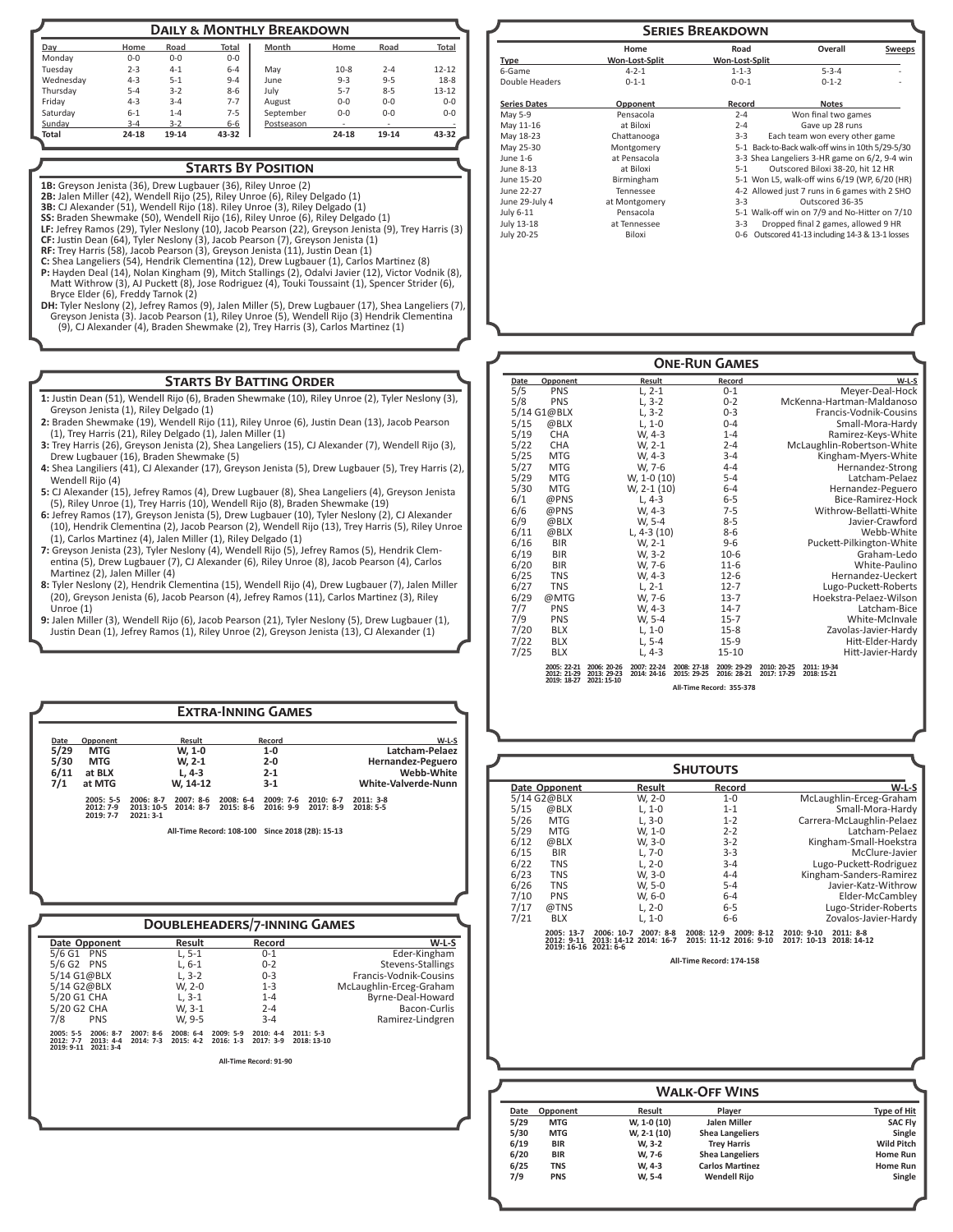|           |         |         |         | <b>DAILY &amp; MONTHLY BREAKDOWN</b> |         |         |           |
|-----------|---------|---------|---------|--------------------------------------|---------|---------|-----------|
| Day       | Home    | Road    | Total   | Month                                | Home    | Road    | Total     |
| Mondav    | $0 - 0$ | $0 - 0$ | $0 - 0$ |                                      |         |         |           |
| Tuesdav   | $2 - 3$ | $4 - 1$ | $6 - 4$ | May                                  | $10-8$  | $2 - 4$ | $12 - 12$ |
| Wednesday | $4 - 3$ | $5 - 1$ | $9 - 4$ | June                                 | $9 - 3$ | $9 - 5$ | $18 - 8$  |
| Thursday  | $5 - 4$ | $3 - 2$ | $8 - 6$ | July                                 | $5 - 7$ | $8 - 5$ | $13 - 12$ |
| Fridav    | $4 - 3$ | $3 - 4$ | $7 - 7$ | August                               | $0-0$   | $0 - 0$ | $0 - 0$   |
| Saturday  | $6 - 1$ | $1 - 4$ | $7 - 5$ | September                            | $0 - 0$ | $0 - 0$ | $0 - 0$   |
| Sunday    | $3 - 4$ | $3 - 2$ | $6 - 6$ | Postseason                           |         | $\sim$  |           |
| Total     | 24-18   | 19-14   | 43-32   |                                      | 24-18   | 19-14   | 43-32     |

#### **Starts By Position**

**1B:** Greyson Jenista (36), Drew Lugbauer (36), Riley Unroe (2)

**2B:** Jalen Miller (42), Wendell Rijo (25), Riley Unroe (6), Riley Delgado (1)

**3B:** CJ Alexander (51), Wendell Rijo (18). Riley Unroe (3), Riley Delgado (1) **SS:** Braden Shewmake (50), Wendell Rijo (16), Riley Unroe (6), Riley Delgado (1)

**LF:** Jefrey Ramos (29), Tyler Neslony (10), Jacob Pearson (22), Greyson Jenista (9), Trey Harris (3)

**CF:** Justin Dean (64), Tyler Neslony (3), Jacob Pearson (7), Greyson Jenista (1) **RF:** Trey Harris (58), Jacob Pearson (3), Greyson Jenista (11), Justin Dean (1)

- **C:** Shea Langeliers (54), Hendrik Clementina (12), Drew Lugbauer (1), Carlos Martinez (8) **P:** Hayden Deal (14), Nolan Kingham (9), Mitch Stallings (2), Odalvi Javier (12), Victor Vodnik (8), Matt Withrow (3), AJ Puckett (8), Jose Rodriguez (4), Touki Toussaint (1), Spencer Strider (6),
- Bryce Elder (6), Freddy Tarnok (2)<br>**DH**: Tyler Neslony (2), Jefrey Ramos (9), Jalen Miller (5), Drew Lugbauer (17), Shea Langeliers (7),<br>Greyson Jenista (3). Jacob Pearson (1), Riley Unroe (5), Wendell Rijo (3) Hendrik Cle (9), CJ Alexander (4), Braden Shewmake (2), Trey Harris (3), Carlos Martinez (1)

#### **Starts By Batting Order**

- **1:** Justin Dean (51), Wendell Rijo (6), Braden Shewmake (10), Riley Unroe (2), Tyler Neslony (3), Greyson Jenista (1), Riley Delgado (1)
- **2:** Braden Shewmake (19), Wendell Rijo (11), Riley Unroe (6), Justin Dean (13), Jacob Pearson (1), Trey Harris (21), Riley Delgado (1), Jalen Miller (1)
- **3:** Trey Harris (26), Greyson Jenista (2), Shea Langeliers (15), CJ Alexander (7), Wendell Rijo (3), Drew Lugbauer (16), Braden Shewmake (5)
- **4:** Shea Langiliers (41), CJ Alexander (17), Greyson Jenista (5), Drew Lugbauer (5), Trey Harris (2), Wendell Rijo (4)
- **5:** CJ Alexander (15), Jefrey Ramos (4), Drew Lugbauer (8), Shea Langeliers (4), Greyson Jenista (5), Riley Unroe (1), Trey Harris (10), Wendell Rijo (8), Braden Shewmake (19)
- **6:** Jefrey Ramos (17), Greyson Jenista (5), Drew Lugbauer (10), Tyler Neslony (2), CJ Alexander (10), Hendrik Clementina (2), Jacob Pearson (2), Wendell Rijo (13), Trey Harris (5), Riley Unroe (1), Carlos Martinez (4), Jalen Miller (1), Riley Delgado (1)
- **7:** Greyson Jenista (23), Tyler Neslony (4), Wendell Rijo (5), Jefrey Ramos (5), Hendrik Clementina (5), Drew Lugbauer (7), CJ Alexander (6), Riley Unroe (8), Jacob Pearson (4), Carlos Martinez (2), Jalen Miller (4)
- **8:** Tyler Neslony (2), Hendrik Clementina (15), Wendell Rijo (4), Drew Lugbauer (7), Jalen Miller (20), Greyson Jenista (6), Jacob Pearson (4), Jefrey Ramos (11), Carlos Martinez (3), Riley Unroe (1)
- **9:** Jalen Miller (3), Wendell Rijo (6), Jacob Pearson (21), Tyler Neslony (5), Drew Lugbauer (1), Justin Dean (1), Jefrey Ramos (1), Riley Unroe (2), Greyson Jenista (13), CJ Alexander (1)

**Extra-Inning Games**

|                     |                        | <b>SERIES BREAKDOWN</b> |                                                  |               |
|---------------------|------------------------|-------------------------|--------------------------------------------------|---------------|
| <b>Type</b>         | Home<br>Won-Lost-Split | Road<br>Won-Lost-Split  | Overall                                          | <b>Sweeps</b> |
| 6-Game              | $4 - 2 - 1$            | $1 - 1 - 3$             | $5 - 3 - 4$                                      |               |
| Double Headers      | $0 - 1 - 1$            | $0 - 0 - 1$             | $0 - 1 - 2$                                      |               |
| <b>Series Dates</b> | Opponent               | Record                  | <b>Notes</b>                                     |               |
| May 5-9             | Pensacola              | $2 - 4$                 | Won final two games                              |               |
| May 11-16           | at Biloxi              | $2 - 4$                 | Gave up 28 runs                                  |               |
| May 18-23           | Chattanooga            | $3 - 3$                 | Each team won every other game                   |               |
| May 25-30           | Montgomery             |                         | 5-1 Back-to-Back walk-off wins in 10th 5/29-5/30 |               |
| June 1-6            | at Pensacola           |                         | 3-3 Shea Langeliers 3-HR game on 6/2, 9-4 win    |               |
| June 8-13           | at Biloxi              | $5-1$                   | Outscored Biloxi 38-20, hit 12 HR                |               |
| June 15-20          | Birmingham             |                         | 5-1 Won L5, walk-off wins 6/19 (WP, 6/20 (HR)    |               |
| June 22-27          | Tennessee              |                         | 4-2 Allowed just 7 runs in 6 games with 2 SHO    |               |
| June 29-July 4      | at Montgomery          | $3 - 3$                 | Outscored 36-35                                  |               |
| July 6-11           | Pensacola              |                         | 5-1 Walk-off win on 7/9 and No-Hitter on 7/10    |               |
| July 13-18          | at Tennessee           | $3 - 3$                 | Dropped final 2 games, allowed 9 HR              |               |
| July 20-25          | Biloxi                 | $0 - 6$                 | Outscored 41-13 including 14-3 & 13-1 losses     |               |

| Date | Opponent                   |                                                          |        |                            | <b>ONE-RUN GAMES</b>       |                            |                            |
|------|----------------------------|----------------------------------------------------------|--------|----------------------------|----------------------------|----------------------------|----------------------------|
| 5/5  |                            |                                                          | Result |                            | Record                     |                            | $W-L-S$                    |
|      | <b>PNS</b>                 | $L, 2-1$                                                 |        |                            | $0 - 1$                    |                            | Meyer-Deal-Hock            |
| 5/8  | <b>PNS</b>                 | $L, 3-2$                                                 |        |                            | $0 - 2$                    |                            | McKenna-Hartman-Maldanoso  |
|      | 5/14 G1@BLX                | $L, 3-2$                                                 |        |                            | $0 - 3$                    |                            | Francis-Vodnik-Cousins     |
| 5/15 | @BLX                       | $L, 1-0$                                                 |        |                            | $0 - 4$                    |                            | Small-Mora-Hardy           |
| 5/19 | CHA                        | W, 4-3                                                   |        |                            | $1 - 4$                    |                            | Ramirez-Keys-White         |
| 5/22 | <b>CHA</b>                 | W, 2-1                                                   |        |                            | $2 - 4$                    |                            | McLaughlin-Robertson-White |
| 5/25 | <b>MTG</b>                 | W, 4-3                                                   |        |                            | $3 - 4$                    |                            | Kingham-Myers-White        |
| 5/27 | <b>MTG</b>                 | W, 7-6                                                   |        |                            | $4 - 4$                    |                            | Hernandez-Strong           |
| 5/29 | <b>MTG</b>                 | W, 1-0 (10)                                              |        |                            | $5 - 4$                    |                            | Latcham-Pelaez             |
| 5/30 | <b>MTG</b>                 | W, 2-1 (10)                                              |        |                            | $6 - 4$                    |                            | Hernandez-Peguero          |
| 6/1  | @PNS                       | $L.4-3$                                                  |        |                            | $6 - 5$                    |                            | Bice-Ramirez-Hock          |
| 6/6  | @PNS                       | W. 4-3                                                   |        |                            | $7 - 5$                    |                            | Withrow-Bellatti-White     |
| 6/9  | @BLX                       | W, 5-4                                                   |        |                            | $8 - 5$                    |                            | Javier-Crawford            |
| 6/11 | @BLX                       | L, $4-3(10)$                                             |        |                            | $8 - 6$                    |                            | Webb-White                 |
| 6/16 | <b>BIR</b>                 | W, 2-1                                                   |        |                            | $9 - 6$                    |                            | Puckett-Pilkington-White   |
| 6/19 | <b>BIR</b>                 | W, 3-2                                                   |        |                            | $10-6$                     |                            | Graham-Ledo                |
| 6/20 | <b>BIR</b>                 | W, 7-6                                                   |        |                            | $11-6$                     |                            | White-Paulino              |
| 6/25 | <b>TNS</b>                 | W. 4-3                                                   |        |                            | $12 - 6$                   |                            | Hernandez-Ueckert          |
| 6/27 | <b>TNS</b>                 | $L, 2-1$                                                 |        |                            | $12 - 7$                   |                            | Lugo-Puckett-Roberts       |
| 6/29 | @MTG                       | W, 7-6                                                   |        |                            | $13 - 7$                   |                            | Hoekstra-Pelaez-Wilson     |
| 7/7  | <b>PNS</b>                 | W, 4-3                                                   |        |                            | $14 - 7$                   |                            | Latcham-Bice               |
| 7/9  | <b>PNS</b>                 | W, 5-4                                                   |        |                            | $15 - 7$                   |                            | White-McInvale             |
| 7/20 | <b>BLX</b>                 | $L, 1-0$                                                 |        |                            | $15 - 8$                   |                            | Zavolas-Javier-Hardy       |
| 7/22 | <b>BLX</b>                 | L, 5-4                                                   |        |                            | $15-9$                     |                            | Hitt-Elder-Hardy           |
| 7/25 | <b>BLX</b>                 | L, 4-3                                                   |        |                            | $15 - 10$                  |                            | Hitt-Javier-Hardy          |
|      | 2005: 22-21<br>2012: 21-29 | 2006: 20-26<br>2007: 22-24<br>2014: 24-16<br>2013: 29-23 |        | 2008: 27-18<br>2015: 29-25 | 2009: 29-29<br>2016: 28-21 | 2010: 20-25<br>2017: 17-29 | 2011: 19-34<br>2018: 15-21 |
|      | 2019: 18-27                | 2021: 15-10                                              |        |                            | All-Time Record: 355-378   |                            |                            |

|                                                               | <b>SHUTOUTS</b>                                 |                                                |                                                   |      |
|---------------------------------------------------------------|-------------------------------------------------|------------------------------------------------|---------------------------------------------------|------|
| $W-L-S$                                                       | Record                                          | Result                                         | Date Opponent                                     |      |
| McLaughlin-Erceg-Graham                                       | $1 - 0$                                         | W, 2-0                                         | 5/14 G2@BLX                                       |      |
| Small-Mora-Hardy                                              | $1 - 1$                                         | $L. 1-0$                                       | @BLX                                              | 5/15 |
| Carrera-McLaughlin-Pelaez                                     | $1 - 2$                                         | $L, 3-0$                                       | <b>MTG</b>                                        | 5/26 |
| Latcham-Pelaez                                                | $2 - 2$                                         | W, 1-0                                         | <b>MTG</b>                                        | 5/29 |
| Kingham-Small-Hoekstra                                        | $3 - 2$                                         | W. 3-0                                         | @BLX                                              | 6/12 |
| McClure-Javier                                                | $3 - 3$                                         | $L.7-0$                                        | <b>BIR</b>                                        | 6/15 |
| Lugo-Puckett-Rodriguez                                        | $3 - 4$                                         | $L, 2-0$                                       | <b>TNS</b>                                        | 6/22 |
| Kingham-Sanders-Ramirez                                       | $4 - 4$                                         | W, 3-0                                         | <b>TNS</b>                                        | 6/23 |
| Javier-Katz-Withrow                                           | $5 - 4$                                         | W, 5-0                                         | <b>TNS</b>                                        | 6/26 |
| Elder-McCambley                                               | $6 - 4$                                         | W, 6-0                                         | <b>PNS</b>                                        | 7/10 |
| Lugo-Strider-Roberts                                          | $6 - 5$                                         | $L, 2-0$                                       | @TNS                                              | 7/17 |
| Zovalos-Javier-Hardy                                          | $6-6$                                           | $L, 1-0$                                       | <b>BLX</b>                                        | 7/21 |
| $2011:8-8$<br>2010: 9-10 2011: 8-8<br>2017: 10-13 2018: 14-12 | 2008: 12-9 2009: 8-12<br>2015: 11-12 2016: 9-10 | 2006: 10-7 2007: 8-8<br>2013: 14-12 2014: 16-7 | 2005: 13-7<br>2012: 9-11<br>2019: 16-16 2021: 6-6 |      |
|                                                               | All-Time Record: 174-158                        |                                                |                                                   |      |
|                                                               |                                                 |                                                |                                                   |      |
|                                                               |                                                 |                                                |                                                   |      |
|                                                               |                                                 |                                                |                                                   |      |
|                                                               | <b>WALK-OFF WINS</b>                            |                                                |                                                   |      |
| <b>Type of Hit</b>                                            | Plaver                                          | Result                                         | Opponent                                          | Date |
| <b>SAC Fly</b>                                                | <b>Jalen Miller</b>                             | W, 1-0 (10)                                    | <b>MTG</b>                                        | 5/29 |
| Single                                                        | <b>Shea Langeliers</b>                          | W, 2-1 (10)                                    | <b>MTG</b>                                        | 5/30 |
| <b>Wild Pitch</b>                                             | <b>Trey Harris</b>                              | W, 3-2                                         | <b>BIR</b>                                        | 6/19 |
| Home Run                                                      | <b>Shea Langeliers</b>                          | W, 7-6                                         | <b>BIR</b>                                        | 6/20 |
| <b>Home Run</b>                                               | <b>Carlos Martinez</b>                          | W, 4-3                                         | <b>TNS</b>                                        | 6/25 |

| Date<br>5/29<br>5/30<br>6/11<br>7/1 | Opponent<br><b>MTG</b><br><b>MTG</b><br>at BLX<br>at MTG |                                       | Result<br>W, 1-0<br>W. 2-1<br>$L.4-3$<br>W, 14-12 |                                     | Record<br>$1-0$<br>$2 - 0$<br>$2 - 1$<br>$3-1$ |                            | $W-L-S$<br>Latcham-Pelaez<br>Hernandez-Peguero<br><b>Webb-White</b><br><b>White-Valverde-Nunn</b> |
|-------------------------------------|----------------------------------------------------------|---------------------------------------|---------------------------------------------------|-------------------------------------|------------------------------------------------|----------------------------|---------------------------------------------------------------------------------------------------|
|                                     | $2005: 5-5$<br>2012: 7-9<br>2019: 7-7                    | 2006: 8-7<br>2013: 10-5<br>$2021:3-1$ | $2007:8-6$<br>2014: 8-7                           | $2008: 6-4$<br>2015: 8-6            | 2009: 7-6<br>$2016:9-9$                        | 2010: 6-7<br>$2017:8-9$    | $2011:3-8$<br>$2018:5-5$                                                                          |
|                                     |                                                          |                                       |                                                   | All-Time Record: 108-100            |                                                | Since 2018 (2B): 15-13     |                                                                                                   |
|                                     |                                                          |                                       |                                                   |                                     |                                                |                            |                                                                                                   |
|                                     |                                                          |                                       |                                                   |                                     |                                                |                            |                                                                                                   |
|                                     |                                                          |                                       |                                                   |                                     |                                                |                            |                                                                                                   |
|                                     |                                                          |                                       |                                                   | <b>DOUBLEHEADERS/7-INNING GAMES</b> |                                                |                            |                                                                                                   |
|                                     |                                                          |                                       | <b>Result</b>                                     |                                     | Record                                         |                            | $W-L-S$                                                                                           |
| 5/6 G1 PNS                          | Date Opponent                                            |                                       | $L, 5-1$                                          |                                     | $0 - 1$                                        |                            | Eder-Kingham                                                                                      |
| 5/6 G2 PNS                          |                                                          |                                       | $L, 6-1$                                          |                                     | $0 - 2$                                        |                            | Stevens-Stallings                                                                                 |
| 5/14 G1@BLX                         |                                                          |                                       | $L, 3-2$                                          |                                     | $0 - 3$                                        |                            | Francis-Vodnik-Cousins                                                                            |
| 5/14 G2@BLX                         |                                                          |                                       | W, 2-0                                            |                                     | $1 - 3$                                        |                            | McLaughlin-Erceg-Graham                                                                           |
| 5/20 G1 CHA                         |                                                          |                                       | $L, 3-1$                                          |                                     | $1 - 4$                                        |                            | Byrne-Deal-Howard                                                                                 |
| 5/20 G2 CHA                         |                                                          |                                       | W. 3-1                                            |                                     | $2 - 4$                                        |                            | Bacon-Curlis                                                                                      |
| 7/8                                 | <b>PNS</b>                                               |                                       | W. 9-5                                            |                                     | $3 - 4$                                        |                            | Ramirez-Lindgren                                                                                  |
| 2005: 5-5<br>2012: 7-7              | 2006: 8-7<br>$2013: 4-4$<br>2019: 9-11 2021: 3-4         | 2007: 8-6<br>$2014:7-3$               | 2008: 6-4<br>$2015: 4-2$                          | 2009: 5-9<br>$2016: 1-3$            | 2010: 4-4<br>$2017:3-9$                        | $2011: 5-3$<br>2018: 13-10 |                                                                                                   |
|                                     |                                                          |                                       |                                                   |                                     | All-Time Record: 91-90                         |                            |                                                                                                   |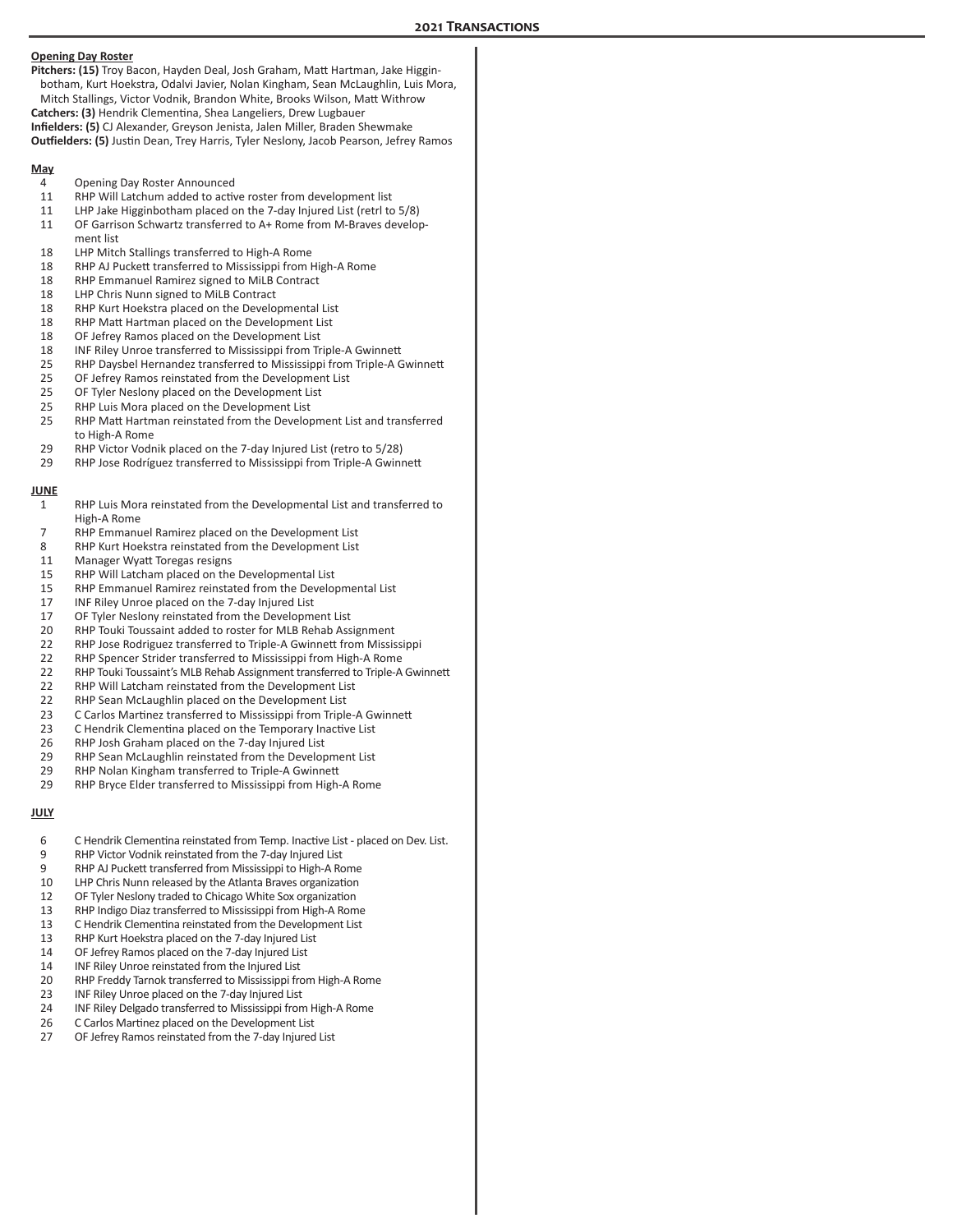|             | <b>Opening Day Roster</b><br>Pitchers: (15) Troy Bacon, Hayden Deal, Josh Graham, Matt Hartman, Jake Higgin-<br>botham, Kurt Hoekstra, Odalvi Javier, Nolan Kingham, Sean McLaughlin, Luis Mora,<br>Mitch Stallings, Victor Vodnik, Brandon White, Brooks Wilson, Matt Withrow<br>Catchers: (3) Hendrik Clementina, Shea Langeliers, Drew Lugbauer<br>Infielders: (5) CJ Alexander, Greyson Jenista, Jalen Miller, Braden Shewmake<br>Outfielders: (5) Justin Dean, Trey Harris, Tyler Neslony, Jacob Pearson, Jefrey Ramos |  |
|-------------|-----------------------------------------------------------------------------------------------------------------------------------------------------------------------------------------------------------------------------------------------------------------------------------------------------------------------------------------------------------------------------------------------------------------------------------------------------------------------------------------------------------------------------|--|
| <u>May</u>  |                                                                                                                                                                                                                                                                                                                                                                                                                                                                                                                             |  |
| 4           | Opening Day Roster Announced                                                                                                                                                                                                                                                                                                                                                                                                                                                                                                |  |
| 11          | RHP Will Latchum added to active roster from development list                                                                                                                                                                                                                                                                                                                                                                                                                                                               |  |
| 11<br>11    | LHP Jake Higginbotham placed on the 7-day Injured List (retrl to 5/8)<br>OF Garrison Schwartz transferred to A+ Rome from M-Braves develop-<br>ment list                                                                                                                                                                                                                                                                                                                                                                    |  |
| 18          | LHP Mitch Stallings transferred to High-A Rome                                                                                                                                                                                                                                                                                                                                                                                                                                                                              |  |
| 18          | RHP AJ Puckett transferred to Mississippi from High-A Rome                                                                                                                                                                                                                                                                                                                                                                                                                                                                  |  |
| 18          | RHP Emmanuel Ramirez signed to MiLB Contract                                                                                                                                                                                                                                                                                                                                                                                                                                                                                |  |
| 18<br>18    | LHP Chris Nunn signed to MiLB Contract<br>RHP Kurt Hoekstra placed on the Developmental List                                                                                                                                                                                                                                                                                                                                                                                                                                |  |
| 18          | RHP Matt Hartman placed on the Development List                                                                                                                                                                                                                                                                                                                                                                                                                                                                             |  |
| 18          | OF Jefrey Ramos placed on the Development List                                                                                                                                                                                                                                                                                                                                                                                                                                                                              |  |
| 18          | INF Riley Unroe transferred to Mississippi from Triple-A Gwinnett                                                                                                                                                                                                                                                                                                                                                                                                                                                           |  |
| 25          | RHP Daysbel Hernandez transferred to Mississippi from Triple-A Gwinnett                                                                                                                                                                                                                                                                                                                                                                                                                                                     |  |
| 25          | OF Jefrey Ramos reinstated from the Development List                                                                                                                                                                                                                                                                                                                                                                                                                                                                        |  |
| 25          | OF Tyler Neslony placed on the Development List                                                                                                                                                                                                                                                                                                                                                                                                                                                                             |  |
| 25<br>25    | RHP Luis Mora placed on the Development List<br>RHP Matt Hartman reinstated from the Development List and transferred                                                                                                                                                                                                                                                                                                                                                                                                       |  |
|             | to High-A Rome                                                                                                                                                                                                                                                                                                                                                                                                                                                                                                              |  |
| 29          | RHP Victor Vodnik placed on the 7-day Injured List (retro to 5/28)                                                                                                                                                                                                                                                                                                                                                                                                                                                          |  |
| 29          | RHP Jose Rodríguez transferred to Mississippi from Triple-A Gwinnett                                                                                                                                                                                                                                                                                                                                                                                                                                                        |  |
| <b>JUNE</b> |                                                                                                                                                                                                                                                                                                                                                                                                                                                                                                                             |  |
| 1           | RHP Luis Mora reinstated from the Developmental List and transferred to                                                                                                                                                                                                                                                                                                                                                                                                                                                     |  |
|             | High-A Rome                                                                                                                                                                                                                                                                                                                                                                                                                                                                                                                 |  |
| 7           | RHP Emmanuel Ramirez placed on the Development List                                                                                                                                                                                                                                                                                                                                                                                                                                                                         |  |
| 8           | RHP Kurt Hoekstra reinstated from the Development List                                                                                                                                                                                                                                                                                                                                                                                                                                                                      |  |
| 11          | Manager Wyatt Toregas resigns                                                                                                                                                                                                                                                                                                                                                                                                                                                                                               |  |
| 15          | RHP Will Latcham placed on the Developmental List                                                                                                                                                                                                                                                                                                                                                                                                                                                                           |  |
| 15<br>17    | RHP Emmanuel Ramirez reinstated from the Developmental List<br>INF Riley Unroe placed on the 7-day Injured List                                                                                                                                                                                                                                                                                                                                                                                                             |  |
| 17          | OF Tyler Neslony reinstated from the Development List                                                                                                                                                                                                                                                                                                                                                                                                                                                                       |  |
| 20          | RHP Touki Toussaint added to roster for MLB Rehab Assignment                                                                                                                                                                                                                                                                                                                                                                                                                                                                |  |
| 22          | RHP Jose Rodriguez transferred to Triple-A Gwinnett from Mississippi                                                                                                                                                                                                                                                                                                                                                                                                                                                        |  |
| 22          | RHP Spencer Strider transferred to Mississippi from High-A Rome                                                                                                                                                                                                                                                                                                                                                                                                                                                             |  |
| 22          | RHP Touki Toussaint's MLB Rehab Assignment transferred to Triple-A Gwinnett                                                                                                                                                                                                                                                                                                                                                                                                                                                 |  |
| 22          | RHP Will Latcham reinstated from the Development List                                                                                                                                                                                                                                                                                                                                                                                                                                                                       |  |
| 22          | RHP Sean McLaughlin placed on the Development List                                                                                                                                                                                                                                                                                                                                                                                                                                                                          |  |
| 23<br>23    | C Carlos Martinez transferred to Mississippi from Triple-A Gwinnett<br>C Hendrik Clementina placed on the Temporary Inactive List                                                                                                                                                                                                                                                                                                                                                                                           |  |
| 26          | RHP Josh Graham placed on the 7-day Injured List                                                                                                                                                                                                                                                                                                                                                                                                                                                                            |  |
| 29          | RHP Sean McLaughlin reinstated from the Development List                                                                                                                                                                                                                                                                                                                                                                                                                                                                    |  |
| 29          | RHP Nolan Kingham transferred to Triple-A Gwinnett                                                                                                                                                                                                                                                                                                                                                                                                                                                                          |  |
| 29          | RHP Bryce Elder transferred to Mississippi from High-A Rome                                                                                                                                                                                                                                                                                                                                                                                                                                                                 |  |
| <u>JULY</u> |                                                                                                                                                                                                                                                                                                                                                                                                                                                                                                                             |  |
| 6           | C Hendrik Clementina reinstated from Temp. Inactive List - placed on Dev. List.                                                                                                                                                                                                                                                                                                                                                                                                                                             |  |
| 9           | RHP Victor Vodnik reinstated from the 7-day Injured List                                                                                                                                                                                                                                                                                                                                                                                                                                                                    |  |
| 9           | RHP AJ Puckett transferred from Mississippi to High-A Rome                                                                                                                                                                                                                                                                                                                                                                                                                                                                  |  |
| 10          | LHP Chris Nunn released by the Atlanta Braves organization                                                                                                                                                                                                                                                                                                                                                                                                                                                                  |  |
| 12<br>13    | OF Tyler Neslony traded to Chicago White Sox organization<br>RHP Indigo Diaz transferred to Mississippi from High-A Rome                                                                                                                                                                                                                                                                                                                                                                                                    |  |
| 13          | C Hendrik Clementina reinstated from the Development List                                                                                                                                                                                                                                                                                                                                                                                                                                                                   |  |
| 13          | RHP Kurt Hoekstra placed on the 7-day Injured List                                                                                                                                                                                                                                                                                                                                                                                                                                                                          |  |
| 14          | OF Jefrey Ramos placed on the 7-day Injured List                                                                                                                                                                                                                                                                                                                                                                                                                                                                            |  |
| 14          | INF Riley Unroe reinstated from the Injured List                                                                                                                                                                                                                                                                                                                                                                                                                                                                            |  |
| 20          | RHP Freddy Tarnok transferred to Mississippi from High-A Rome                                                                                                                                                                                                                                                                                                                                                                                                                                                               |  |
| 23          | INF Riley Unroe placed on the 7-day Injured List                                                                                                                                                                                                                                                                                                                                                                                                                                                                            |  |
| 24          | INF Riley Delgado transferred to Mississippi from High-A Rome                                                                                                                                                                                                                                                                                                                                                                                                                                                               |  |

26 C Carlos Martinez placed on the Development List OF Jefrey Ramos reinstated from the 7-day Injured List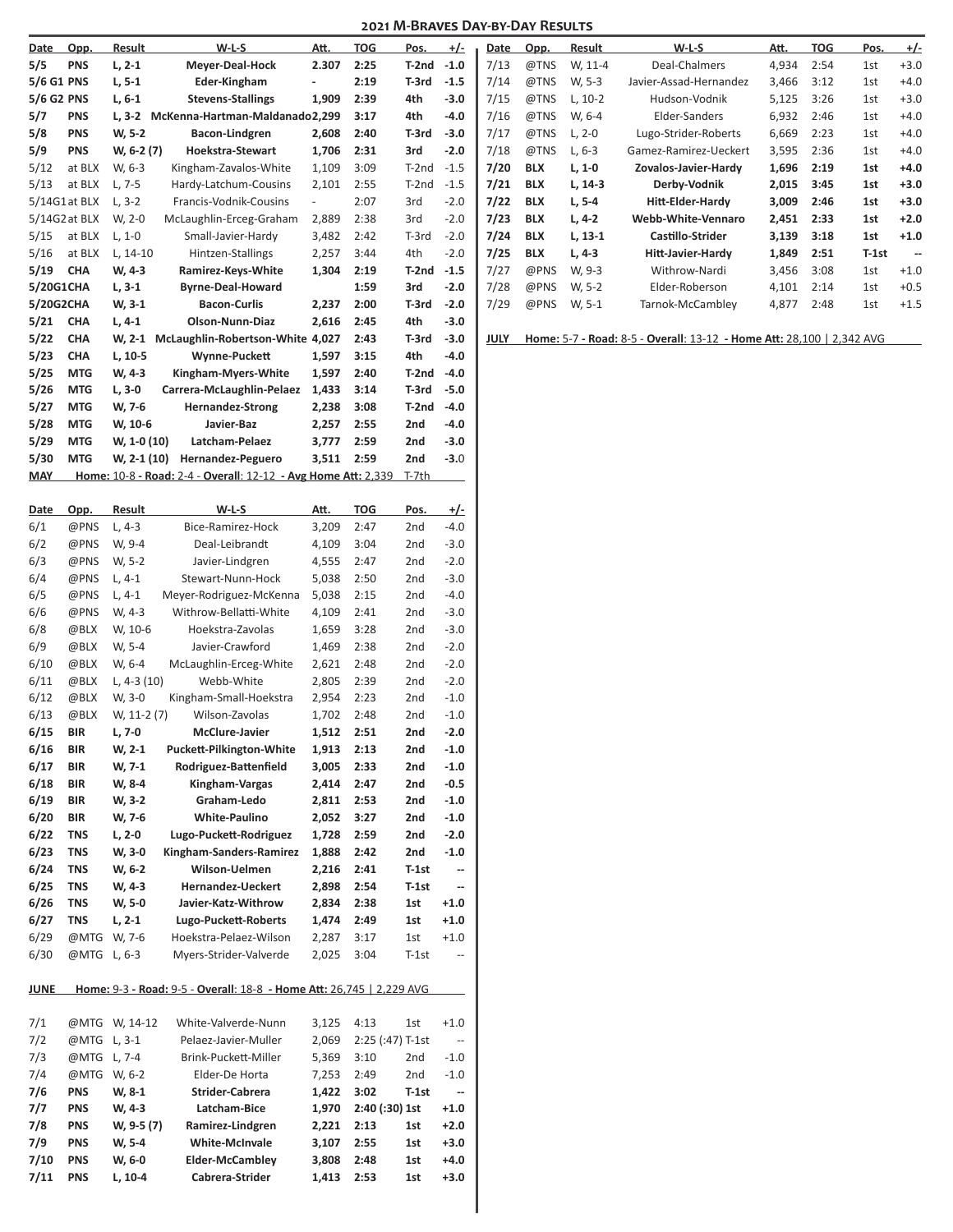| Date        | Opp.          | Result             | $W-L-S$                                                              | Att.           | <b>TOG</b>         | Pos.        | $+/-$                         | Date | Opp.       | Result    | $W-L-S$                                                               | Att.  | <b>TOG</b> | Pos.  | <u>+/-</u>               |
|-------------|---------------|--------------------|----------------------------------------------------------------------|----------------|--------------------|-------------|-------------------------------|------|------------|-----------|-----------------------------------------------------------------------|-------|------------|-------|--------------------------|
| 5/5         | <b>PNS</b>    | $L, 2-1$           | Meyer-Deal-Hock                                                      | 2.307          | 2:25               | T-2nd       | $-1.0$                        | 7/13 | @TNS       | W, 11-4   | Deal-Chalmers                                                         | 4,934 | 2:54       | 1st   | $+3.0$                   |
| 5/6 G1 PNS  |               | $L, 5-1$           | Eder-Kingham                                                         | $\blacksquare$ | 2:19               | T-3rd       | $-1.5$                        | 7/14 | @TNS       | W, 5-3    | Javier-Assad-Hernandez                                                | 3,466 | 3:12       | 1st   | $+4.0$                   |
| 5/6 G2 PNS  |               | $L, 6-1$           | <b>Stevens-Stallings</b>                                             | 1,909          | 2:39               | 4th         | $-3.0$                        | 7/15 | @TNS       | $L, 10-2$ | Hudson-Vodnik                                                         | 5,125 | 3:26       | 1st   | $+3.0$                   |
| 5/7         | <b>PNS</b>    |                    | L, 3-2 McKenna-Hartman-Maldanado2,299                                |                | 3:17               | 4th         | $-4.0$                        | 7/16 | @TNS       | W, 6-4    | Elder-Sanders                                                         | 6,932 | 2:46       | 1st   | $+4.0$                   |
| 5/8         | <b>PNS</b>    | W, 5-2             | Bacon-Lindgren                                                       | 2,608          | 2:40               | T-3rd       | $-3.0$                        | 7/17 | @TNS       | $L, 2-0$  | Lugo-Strider-Roberts                                                  | 6,669 | 2:23       | 1st   | $+4.0$                   |
| 5/9         | <b>PNS</b>    | W, 6-2 (7)         | Hoekstra-Stewart                                                     | 1,706          | 2:31               | 3rd         | $-2.0$                        | 7/18 | @TNS       | $L, 6-3$  | Gamez-Ramirez-Ueckert                                                 | 3,595 | 2:36       | 1st   | $+4.0$                   |
| 5/12        | at BLX        | W, 6-3             | Kingham-Zavalos-White                                                | 1,109          | 3:09               | T-2nd       | $-1.5$                        | 7/20 | <b>BLX</b> | $L, 1-0$  | Zovalos-Javier-Hardy                                                  | 1,696 | 2:19       | 1st   | $+4.0$                   |
| 5/13        | at BLX        | $L, 7-5$           | Hardy-Latchum-Cousins                                                | 2,101          | 2:55               | T-2nd       | $-1.5$                        | 7/21 | <b>BLX</b> | $L, 14-3$ | Derby-Vodnik                                                          | 2,015 | 3:45       | 1st   | $+3.0$                   |
|             | 5/14G1at BLX  | $L, 3-2$           | Francis-Vodnik-Cousins                                               | $\blacksquare$ | 2:07               | 3rd         | $-2.0$                        | 7/22 | <b>BLX</b> | $L, 5-4$  | Hitt-Elder-Hardy                                                      | 3,009 | 2:46       | 1st   | $+3.0$                   |
|             | 5/14G2 at BLX | W, 2-0             | McLaughlin-Erceg-Graham                                              | 2,889          | 2:38               | 3rd         | $-2.0$                        | 7/23 | <b>BLX</b> | $L, 4-2$  | Webb-White-Vennaro                                                    | 2,451 | 2:33       | 1st   | $+2.0$                   |
| 5/15        | at BLX        | $L, 1-0$           | Small-Javier-Hardy                                                   | 3,482          | 2:42               | $T-3rd$     | $-2.0$                        | 7/24 | <b>BLX</b> | $L, 13-1$ | Castillo-Strider                                                      | 3,139 | 3:18       | 1st   | $+1.0$                   |
| 5/16        | at BLX        | L, 14-10           | Hintzen-Stallings                                                    | 2,257          | 3:44               | 4th         | $-2.0$                        | 7/25 | <b>BLX</b> | L, 4-3    | <b>Hitt-Javier-Hardy</b>                                              | 1,849 | 2:51       | T-1st | $\overline{\phantom{a}}$ |
| 5/19        | <b>CHA</b>    | W, 4-3             | Ramirez-Keys-White                                                   | 1,304          | 2:19               | T-2nd       | $-1.5$                        | 7/27 | @PNS       | W, 9-3    | Withrow-Nardi                                                         | 3,456 | 3:08       | 1st   | $+1.0$                   |
| 5/20G1CHA   |               | $L, 3-1$           | <b>Byrne-Deal-Howard</b>                                             |                | 1:59               | 3rd         | $-2.0$                        | 7/28 | @PNS       | W, 5-2    | Elder-Roberson                                                        | 4,101 | 2:14       | 1st   | $+0.5$                   |
| 5/20G2CHA   |               | W, 3-1             | <b>Bacon-Curlis</b>                                                  | 2,237          | 2:00               | T-3rd       | $-2.0$                        | 7/29 | @PNS       | W, 5-1    | Tarnok-McCambley                                                      | 4,877 | 2:48       | 1st   | $+1.5$                   |
| 5/21        | <b>CHA</b>    |                    | Olson-Nunn-Diaz                                                      | 2,616          | 2:45               | 4th         | $-3.0$                        |      |            |           |                                                                       |       |            |       |                          |
|             | CHA           | $L, 4-1$           |                                                                      |                |                    |             | $-3.0$                        |      |            |           | Home: 5-7 - Road: 8-5 - Overall: 13-12 - Home Att: 28,100   2,342 AVG |       |            |       |                          |
| 5/22        |               | W, 2-1             | McLaughlin-Robertson-White 4,027                                     |                | 2:43               | T-3rd       |                               | JULY |            |           |                                                                       |       |            |       |                          |
| 5/23        | <b>CHA</b>    | L, 10-5            | Wynne-Puckett                                                        | 1,597          | 3:15               | 4th         | $-4.0$                        |      |            |           |                                                                       |       |            |       |                          |
| 5/25        | <b>MTG</b>    | W, 4-3             | Kingham-Myers-White                                                  | 1,597          | 2:40               | T-2nd       | $-4.0$                        |      |            |           |                                                                       |       |            |       |                          |
| 5/26        | <b>MTG</b>    | $L, 3-0$           | Carrera-McLaughlin-Pelaez                                            | 1,433          | 3:14               | T-3rd       | $-5.0$                        |      |            |           |                                                                       |       |            |       |                          |
| 5/27        | <b>MTG</b>    | W, 7-6             | <b>Hernandez-Strong</b>                                              | 2,238          | 3:08               | T-2nd       | $-4.0$                        |      |            |           |                                                                       |       |            |       |                          |
| 5/28        | <b>MTG</b>    | W, 10-6            | Javier-Baz                                                           | 2,257          | 2:55               | 2nd         | $-4.0$                        |      |            |           |                                                                       |       |            |       |                          |
| 5/29        | <b>MTG</b>    | W, 1-0 (10)        | Latcham-Pelaez                                                       | 3,777          | 2:59               | 2nd         | $-3.0$                        |      |            |           |                                                                       |       |            |       |                          |
| 5/30        | <b>MTG</b>    | W, 2-1 (10)        | Hernandez-Peguero                                                    | 3,511          | 2:59               | 2nd         | $-3.0$                        |      |            |           |                                                                       |       |            |       |                          |
| <b>MAY</b>  |               |                    | Home: 10-8 - Road: 2-4 - Overall: 12-12 - Avg Home Att: 2,339        |                |                    | T-7th       |                               |      |            |           |                                                                       |       |            |       |                          |
|             |               |                    |                                                                      |                |                    |             |                               |      |            |           |                                                                       |       |            |       |                          |
| Date<br>6/1 | Opp.<br>@PNS  | Result<br>$L, 4-3$ | $W-L-S$<br>Bice-Ramirez-Hock                                         | Att.<br>3,209  | <b>TOG</b><br>2:47 | Pos.<br>2nd | <u>+/-</u><br>$-4.0$          |      |            |           |                                                                       |       |            |       |                          |
|             |               |                    |                                                                      |                |                    |             |                               |      |            |           |                                                                       |       |            |       |                          |
| 6/2         | @PNS          | W, 9-4             | Deal-Leibrandt                                                       | 4,109          | 3:04               | 2nd         | $-3.0$                        |      |            |           |                                                                       |       |            |       |                          |
| 6/3         | @PNS          | W, 5-2             | Javier-Lindgren                                                      | 4,555          | 2:47               | 2nd         | $-2.0$                        |      |            |           |                                                                       |       |            |       |                          |
| 6/4         | @PNS          | $L, 4-1$           | Stewart-Nunn-Hock                                                    | 5,038          | 2:50               | 2nd         | $-3.0$                        |      |            |           |                                                                       |       |            |       |                          |
| 6/5         | @PNS          | $L, 4-1$           | Meyer-Rodriguez-McKenna                                              | 5,038          | 2:15               | 2nd         | $-4.0$                        |      |            |           |                                                                       |       |            |       |                          |
| 6/6         | @PNS          | W, 4-3             | Withrow-Bellatti-White                                               | 4,109          | 2:41               | 2nd         | $-3.0$                        |      |            |           |                                                                       |       |            |       |                          |
| 6/8         | @BLX          | W, 10-6            | Hoekstra-Zavolas                                                     | 1,659          | 3:28               | 2nd         | $-3.0$                        |      |            |           |                                                                       |       |            |       |                          |
| 6/9         | @BLX          | W, 5-4             | Javier-Crawford                                                      | 1,469          | 2:38               | 2nd         | $-2.0$                        |      |            |           |                                                                       |       |            |       |                          |
| 6/10        | @BLX          | W, 6-4             | McLaughlin-Erceg-White                                               | 2,621          | 2:48               | 2nd         | $-2.0$                        |      |            |           |                                                                       |       |            |       |                          |
| 6/11        | @BLX          | L, 4-3 $(10)$      | Webb-White                                                           | 2,805          | 2:39               | 2nd         | $-2.0$                        |      |            |           |                                                                       |       |            |       |                          |
| 6/12        | @BLX          | W, 3-0             | Kingham-Small-Hoekstra                                               | 2,954          | 2:23               | 2nd         | $-1.0$                        |      |            |           |                                                                       |       |            |       |                          |
| 6/13        | @BLX          | W, $11-2(7)$       | Wilson-Zavolas                                                       | 1,702          | 2:48               | 2nd         | $-1.0$                        |      |            |           |                                                                       |       |            |       |                          |
| 6/15        | BIR           | L, 7-0             | <b>McClure-Javier</b>                                                | 1,512          | 2:51               | 2nd         | $-2.0$                        |      |            |           |                                                                       |       |            |       |                          |
| 6/16        | <b>BIR</b>    | W, 2-1             | Puckett-Pilkington-White                                             | 1,913          | 2:13               | 2nd         | $-1.0$                        |      |            |           |                                                                       |       |            |       |                          |
| 6/17        | <b>BIR</b>    | W, 7-1             | Rodriguez-Battenfield                                                | 3,005          | 2:33               | 2nd         | $-1.0$                        |      |            |           |                                                                       |       |            |       |                          |
| 6/18        | <b>BIR</b>    | W, 8-4             | Kingham-Vargas                                                       | 2,414          | 2:47               | 2nd         | $-0.5$                        |      |            |           |                                                                       |       |            |       |                          |
| 6/19        | <b>BIR</b>    | W, 3-2             | Graham-Ledo                                                          | 2,811 2:53     |                    | 2nd         | $-1.0$                        |      |            |           |                                                                       |       |            |       |                          |
| 6/20        | <b>BIR</b>    | W, 7-6             | White-Paulino                                                        | 2,052 3:27     |                    | 2nd         | $-1.0$                        |      |            |           |                                                                       |       |            |       |                          |
| 6/22        | <b>TNS</b>    | $L, 2-0$           | Lugo-Puckett-Rodriguez                                               | 1,728          | 2:59               | 2nd         | $-2.0$                        |      |            |           |                                                                       |       |            |       |                          |
| 6/23        | <b>TNS</b>    | W, 3-0             | Kingham-Sanders-Ramirez                                              | 1,888          | 2:42               | 2nd         | $-1.0$                        |      |            |           |                                                                       |       |            |       |                          |
| 6/24        | <b>TNS</b>    | W, 6-2             | Wilson-Uelmen                                                        | 2,216          | 2:41               | $T-1st$     | --                            |      |            |           |                                                                       |       |            |       |                          |
| 6/25        | <b>TNS</b>    | W, 4-3             | Hernandez-Ueckert                                                    | 2,898          | 2:54               | $T-1st$     | --                            |      |            |           |                                                                       |       |            |       |                          |
| 6/26        | <b>TNS</b>    | W, 5-0             | Javier-Katz-Withrow                                                  | 2,834          | 2:38               | 1st         | $+1.0$                        |      |            |           |                                                                       |       |            |       |                          |
| 6/27        | <b>TNS</b>    |                    | Lugo-Puckett-Roberts                                                 | 1,474          | 2:49               |             | $+1.0$                        |      |            |           |                                                                       |       |            |       |                          |
|             |               | L, 2-1             |                                                                      |                |                    | 1st         |                               |      |            |           |                                                                       |       |            |       |                          |
| 6/29        |               | @MTG W, 7-6        | Hoekstra-Pelaez-Wilson                                               | 2,287          | 3:17               | 1st         | $+1.0$                        |      |            |           |                                                                       |       |            |       |                          |
| 6/30        | @MTG L, 6-3   |                    | Myers-Strider-Valverde                                               | 2,025          | 3:04               | $T-1st$     | $\overline{\phantom{a}}$      |      |            |           |                                                                       |       |            |       |                          |
| <b>JUNE</b> |               |                    | Home: 9-3 - Road: 9-5 - Overall: 18-8 - Home Att: 26,745   2,229 AVG |                |                    |             |                               |      |            |           |                                                                       |       |            |       |                          |
|             |               |                    |                                                                      |                |                    |             |                               |      |            |           |                                                                       |       |            |       |                          |
| 7/1         |               | @MTG W, 14-12      | White-Valverde-Nunn                                                  | 3,125 4:13     |                    | 1st         | $+1.0$                        |      |            |           |                                                                       |       |            |       |                          |
| 7/2         | @MTG L, 3-1   |                    | Pelaez-Javier-Muller                                                 | 2,069          | 2:25 (:47) T-1st   |             | $\qquad \qquad -$             |      |            |           |                                                                       |       |            |       |                          |
| 7/3         | @MTG L, 7-4   |                    | Brink-Puckett-Miller                                                 | 5,369          | 3:10               | 2nd         | $-1.0$                        |      |            |           |                                                                       |       |            |       |                          |
| 7/4         |               | @MTG W, 6-2        | Elder-De Horta                                                       | 7,253          | 2:49               | 2nd         | $-1.0$                        |      |            |           |                                                                       |       |            |       |                          |
| 7/6         | <b>PNS</b>    | W, 8-1             | Strider-Cabrera                                                      | 1,422          | 3:02               | $T-1st$     | $\qquad \qquad \qquad \qquad$ |      |            |           |                                                                       |       |            |       |                          |
| 7/7         | <b>PNS</b>    | W, 4-3             | Latcham-Bice                                                         | 1,970          | 2:40 (:30) 1st     |             | $+1.0$                        |      |            |           |                                                                       |       |            |       |                          |
| 7/8         | <b>PNS</b>    | W, 9-5 (7)         | Ramirez-Lindgren                                                     | 2,221 2:13     |                    | 1st         | $+2.0$                        |      |            |           |                                                                       |       |            |       |                          |
| 7/9         | <b>PNS</b>    |                    | White-McInvale                                                       |                | 2:55               |             | $+3.0$                        |      |            |           |                                                                       |       |            |       |                          |
|             |               | W, 5-4             |                                                                      | 3,107          |                    | 1st         |                               |      |            |           |                                                                       |       |            |       |                          |
| 7/10        | <b>PNS</b>    | W, 6-0             | <b>Elder-McCambley</b>                                               | 3,808          | 2:48               | 1st         | $+4.0$                        |      |            |           |                                                                       |       |            |       |                          |
| 7/11        | <b>PNS</b>    | L, 10-4            | Cabrera-Strider                                                      | 1,413 2:53     |                    | 1st         | $+3.0$                        |      |            |           |                                                                       |       |            |       |                          |
|             |               |                    |                                                                      |                |                    |             |                               |      |            |           |                                                                       |       |            |       |                          |
|             |               |                    |                                                                      |                |                    |             |                               |      |            |           |                                                                       |       |            |       |                          |